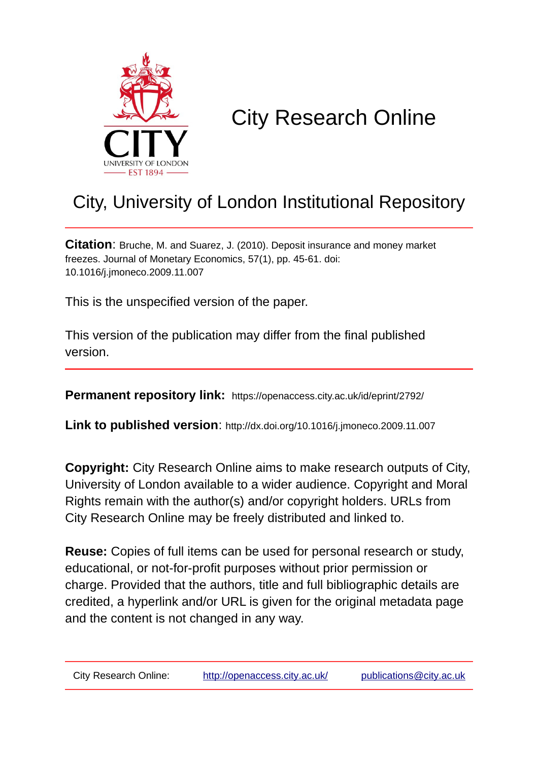

# City Research Online

# City, University of London Institutional Repository

**Citation**: Bruche, M. and Suarez, J. (2010). Deposit insurance and money market freezes. Journal of Monetary Economics, 57(1), pp. 45-61. doi: 10.1016/j.jmoneco.2009.11.007

This is the unspecified version of the paper.

This version of the publication may differ from the final published version.

**Permanent repository link:** https://openaccess.city.ac.uk/id/eprint/2792/

**Link to published version**: http://dx.doi.org/10.1016/j.jmoneco.2009.11.007

**Copyright:** City Research Online aims to make research outputs of City, University of London available to a wider audience. Copyright and Moral Rights remain with the author(s) and/or copyright holders. URLs from City Research Online may be freely distributed and linked to.

**Reuse:** Copies of full items can be used for personal research or study, educational, or not-for-profit purposes without prior permission or charge. Provided that the authors, title and full bibliographic details are credited, a hyperlink and/or URL is given for the original metadata page and the content is not changed in any way.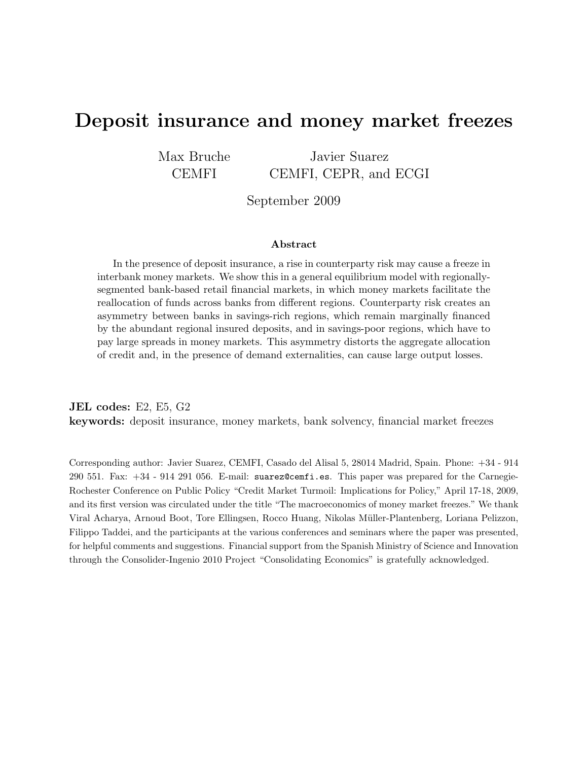# Deposit insurance and money market freezes

Max Bruche CEMFI

Javier Suarez CEMFI, CEPR, and ECGI

September 2009

#### Abstract

In the presence of deposit insurance, a rise in counterparty risk may cause a freeze in interbank money markets. We show this in a general equilibrium model with regionallysegmented bank-based retail financial markets, in which money markets facilitate the reallocation of funds across banks from different regions. Counterparty risk creates an asymmetry between banks in savings-rich regions, which remain marginally financed by the abundant regional insured deposits, and in savings-poor regions, which have to pay large spreads in money markets. This asymmetry distorts the aggregate allocation of credit and, in the presence of demand externalities, can cause large output losses.

JEL codes: E2, E5, G2 keywords: deposit insurance, money markets, bank solvency, financial market freezes

Corresponding author: Javier Suarez, CEMFI, Casado del Alisal 5, 28014 Madrid, Spain. Phone: +34 - 914 290 551. Fax: +34 - 914 291 056. E-mail: suarez@cemfi.es. This paper was prepared for the Carnegie-Rochester Conference on Public Policy "Credit Market Turmoil: Implications for Policy," April 17-18, 2009, and its first version was circulated under the title "The macroeconomics of money market freezes." We thank Viral Acharya, Arnoud Boot, Tore Ellingsen, Rocco Huang, Nikolas M¨uller-Plantenberg, Loriana Pelizzon, Filippo Taddei, and the participants at the various conferences and seminars where the paper was presented, for helpful comments and suggestions. Financial support from the Spanish Ministry of Science and Innovation through the Consolider-Ingenio 2010 Project "Consolidating Economics" is gratefully acknowledged.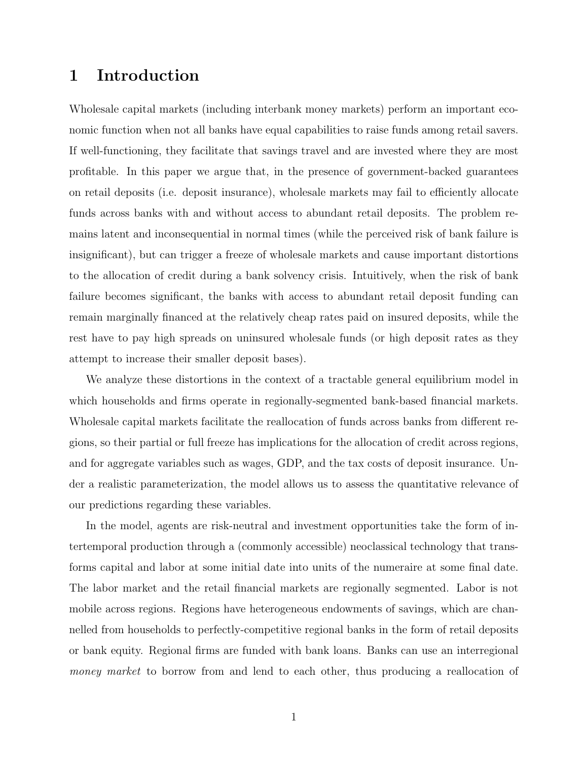# 1 Introduction

Wholesale capital markets (including interbank money markets) perform an important economic function when not all banks have equal capabilities to raise funds among retail savers. If well-functioning, they facilitate that savings travel and are invested where they are most profitable. In this paper we argue that, in the presence of government-backed guarantees on retail deposits (i.e. deposit insurance), wholesale markets may fail to efficiently allocate funds across banks with and without access to abundant retail deposits. The problem remains latent and inconsequential in normal times (while the perceived risk of bank failure is insignificant), but can trigger a freeze of wholesale markets and cause important distortions to the allocation of credit during a bank solvency crisis. Intuitively, when the risk of bank failure becomes significant, the banks with access to abundant retail deposit funding can remain marginally financed at the relatively cheap rates paid on insured deposits, while the rest have to pay high spreads on uninsured wholesale funds (or high deposit rates as they attempt to increase their smaller deposit bases).

We analyze these distortions in the context of a tractable general equilibrium model in which households and firms operate in regionally-segmented bank-based financial markets. Wholesale capital markets facilitate the reallocation of funds across banks from different regions, so their partial or full freeze has implications for the allocation of credit across regions, and for aggregate variables such as wages, GDP, and the tax costs of deposit insurance. Under a realistic parameterization, the model allows us to assess the quantitative relevance of our predictions regarding these variables.

In the model, agents are risk-neutral and investment opportunities take the form of intertemporal production through a (commonly accessible) neoclassical technology that transforms capital and labor at some initial date into units of the numeraire at some final date. The labor market and the retail financial markets are regionally segmented. Labor is not mobile across regions. Regions have heterogeneous endowments of savings, which are channelled from households to perfectly-competitive regional banks in the form of retail deposits or bank equity. Regional firms are funded with bank loans. Banks can use an interregional money market to borrow from and lend to each other, thus producing a reallocation of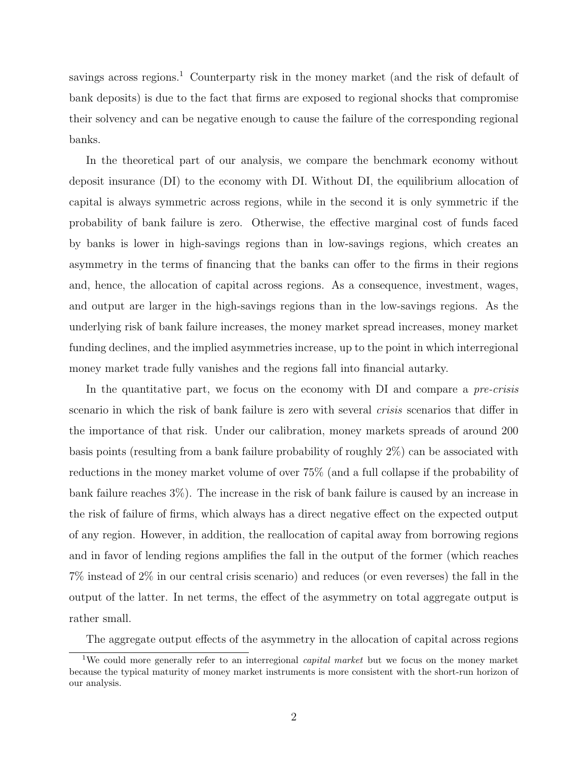savings across regions.<sup>1</sup> Counterparty risk in the money market (and the risk of default of bank deposits) is due to the fact that firms are exposed to regional shocks that compromise their solvency and can be negative enough to cause the failure of the corresponding regional banks.

In the theoretical part of our analysis, we compare the benchmark economy without deposit insurance (DI) to the economy with DI. Without DI, the equilibrium allocation of capital is always symmetric across regions, while in the second it is only symmetric if the probability of bank failure is zero. Otherwise, the effective marginal cost of funds faced by banks is lower in high-savings regions than in low-savings regions, which creates an asymmetry in the terms of financing that the banks can offer to the firms in their regions and, hence, the allocation of capital across regions. As a consequence, investment, wages, and output are larger in the high-savings regions than in the low-savings regions. As the underlying risk of bank failure increases, the money market spread increases, money market funding declines, and the implied asymmetries increase, up to the point in which interregional money market trade fully vanishes and the regions fall into financial autarky.

In the quantitative part, we focus on the economy with DI and compare a *pre-crisis* scenario in which the risk of bank failure is zero with several crisis scenarios that differ in the importance of that risk. Under our calibration, money markets spreads of around 200 basis points (resulting from a bank failure probability of roughly 2%) can be associated with reductions in the money market volume of over 75% (and a full collapse if the probability of bank failure reaches 3%). The increase in the risk of bank failure is caused by an increase in the risk of failure of firms, which always has a direct negative effect on the expected output of any region. However, in addition, the reallocation of capital away from borrowing regions and in favor of lending regions amplifies the fall in the output of the former (which reaches 7% instead of 2% in our central crisis scenario) and reduces (or even reverses) the fall in the output of the latter. In net terms, the effect of the asymmetry on total aggregate output is rather small.

The aggregate output effects of the asymmetry in the allocation of capital across regions

<sup>&</sup>lt;sup>1</sup>We could more generally refer to an interregional *capital market* but we focus on the money market because the typical maturity of money market instruments is more consistent with the short-run horizon of our analysis.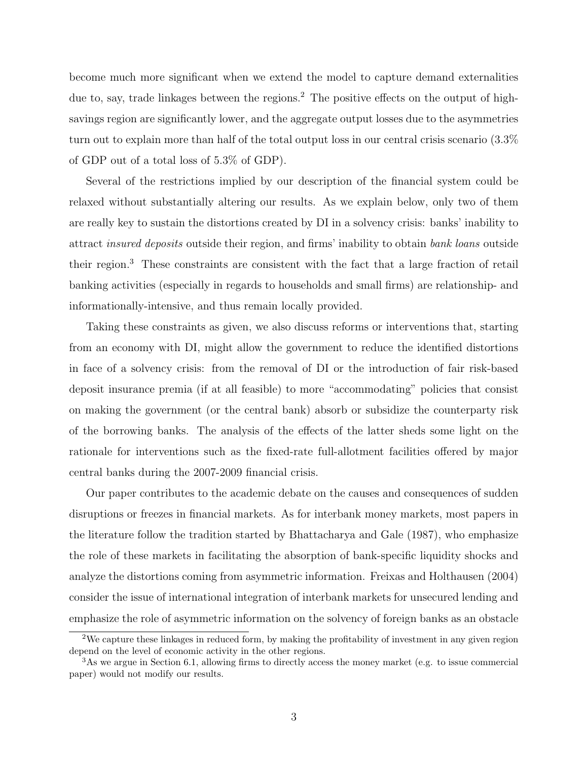become much more significant when we extend the model to capture demand externalities due to, say, trade linkages between the regions.<sup>2</sup> The positive effects on the output of highsavings region are significantly lower, and the aggregate output losses due to the asymmetries turn out to explain more than half of the total output loss in our central crisis scenario (3.3% of GDP out of a total loss of 5.3% of GDP).

Several of the restrictions implied by our description of the financial system could be relaxed without substantially altering our results. As we explain below, only two of them are really key to sustain the distortions created by DI in a solvency crisis: banks' inability to attract insured deposits outside their region, and firms' inability to obtain bank loans outside their region.<sup>3</sup> These constraints are consistent with the fact that a large fraction of retail banking activities (especially in regards to households and small firms) are relationship- and informationally-intensive, and thus remain locally provided.

Taking these constraints as given, we also discuss reforms or interventions that, starting from an economy with DI, might allow the government to reduce the identified distortions in face of a solvency crisis: from the removal of DI or the introduction of fair risk-based deposit insurance premia (if at all feasible) to more "accommodating" policies that consist on making the government (or the central bank) absorb or subsidize the counterparty risk of the borrowing banks. The analysis of the effects of the latter sheds some light on the rationale for interventions such as the fixed-rate full-allotment facilities offered by major central banks during the 2007-2009 financial crisis.

Our paper contributes to the academic debate on the causes and consequences of sudden disruptions or freezes in financial markets. As for interbank money markets, most papers in the literature follow the tradition started by Bhattacharya and Gale (1987), who emphasize the role of these markets in facilitating the absorption of bank-specific liquidity shocks and analyze the distortions coming from asymmetric information. Freixas and Holthausen (2004) consider the issue of international integration of interbank markets for unsecured lending and emphasize the role of asymmetric information on the solvency of foreign banks as an obstacle

<sup>2</sup>We capture these linkages in reduced form, by making the profitability of investment in any given region depend on the level of economic activity in the other regions.

<sup>&</sup>lt;sup>3</sup>As we argue in Section 6.1, allowing firms to directly access the money market (e.g. to issue commercial paper) would not modify our results.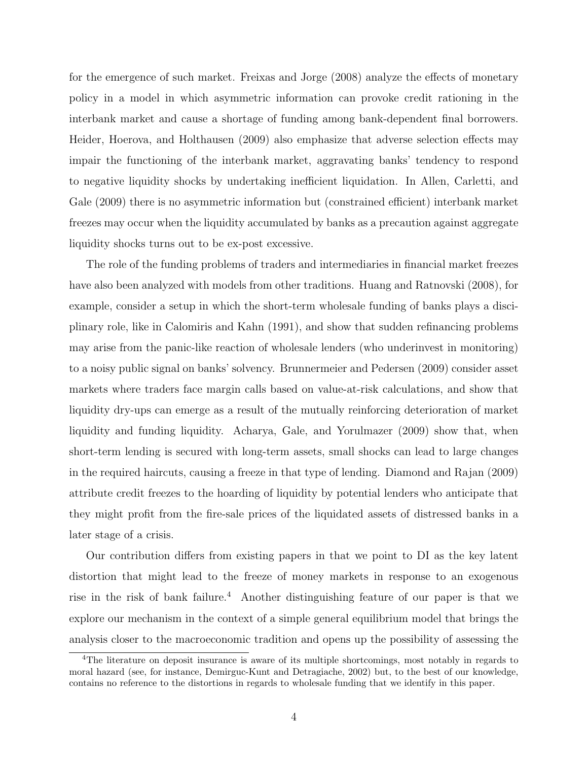for the emergence of such market. Freixas and Jorge (2008) analyze the effects of monetary policy in a model in which asymmetric information can provoke credit rationing in the interbank market and cause a shortage of funding among bank-dependent final borrowers. Heider, Hoerova, and Holthausen (2009) also emphasize that adverse selection effects may impair the functioning of the interbank market, aggravating banks' tendency to respond to negative liquidity shocks by undertaking inefficient liquidation. In Allen, Carletti, and Gale (2009) there is no asymmetric information but (constrained efficient) interbank market freezes may occur when the liquidity accumulated by banks as a precaution against aggregate liquidity shocks turns out to be ex-post excessive.

The role of the funding problems of traders and intermediaries in financial market freezes have also been analyzed with models from other traditions. Huang and Ratnovski (2008), for example, consider a setup in which the short-term wholesale funding of banks plays a disciplinary role, like in Calomiris and Kahn (1991), and show that sudden refinancing problems may arise from the panic-like reaction of wholesale lenders (who underinvest in monitoring) to a noisy public signal on banks' solvency. Brunnermeier and Pedersen (2009) consider asset markets where traders face margin calls based on value-at-risk calculations, and show that liquidity dry-ups can emerge as a result of the mutually reinforcing deterioration of market liquidity and funding liquidity. Acharya, Gale, and Yorulmazer (2009) show that, when short-term lending is secured with long-term assets, small shocks can lead to large changes in the required haircuts, causing a freeze in that type of lending. Diamond and Rajan (2009) attribute credit freezes to the hoarding of liquidity by potential lenders who anticipate that they might profit from the fire-sale prices of the liquidated assets of distressed banks in a later stage of a crisis.

Our contribution differs from existing papers in that we point to DI as the key latent distortion that might lead to the freeze of money markets in response to an exogenous rise in the risk of bank failure.<sup>4</sup> Another distinguishing feature of our paper is that we explore our mechanism in the context of a simple general equilibrium model that brings the analysis closer to the macroeconomic tradition and opens up the possibility of assessing the

<sup>4</sup>The literature on deposit insurance is aware of its multiple shortcomings, most notably in regards to moral hazard (see, for instance, Demirguc-Kunt and Detragiache, 2002) but, to the best of our knowledge, contains no reference to the distortions in regards to wholesale funding that we identify in this paper.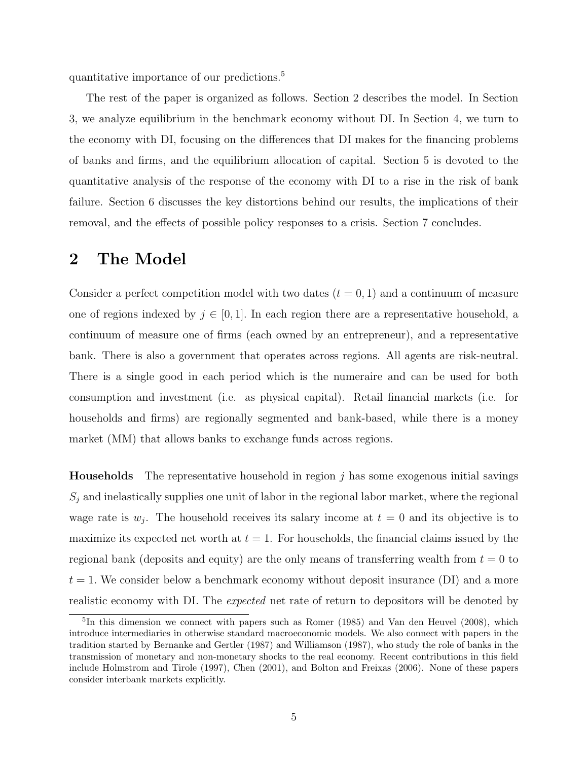quantitative importance of our predictions.<sup>5</sup>

The rest of the paper is organized as follows. Section 2 describes the model. In Section 3, we analyze equilibrium in the benchmark economy without DI. In Section 4, we turn to the economy with DI, focusing on the differences that DI makes for the financing problems of banks and firms, and the equilibrium allocation of capital. Section 5 is devoted to the quantitative analysis of the response of the economy with DI to a rise in the risk of bank failure. Section 6 discusses the key distortions behind our results, the implications of their removal, and the effects of possible policy responses to a crisis. Section 7 concludes.

## 2 The Model

Consider a perfect competition model with two dates  $(t = 0, 1)$  and a continuum of measure one of regions indexed by  $j \in [0, 1]$ . In each region there are a representative household, a continuum of measure one of firms (each owned by an entrepreneur), and a representative bank. There is also a government that operates across regions. All agents are risk-neutral. There is a single good in each period which is the numeraire and can be used for both consumption and investment (i.e. as physical capital). Retail financial markets (i.e. for households and firms) are regionally segmented and bank-based, while there is a money market (MM) that allows banks to exchange funds across regions.

**Households** The representative household in region  $j$  has some exogenous initial savings  $S_i$  and inelastically supplies one unit of labor in the regional labor market, where the regional wage rate is  $w_j$ . The household receives its salary income at  $t = 0$  and its objective is to maximize its expected net worth at  $t = 1$ . For households, the financial claims issued by the regional bank (deposits and equity) are the only means of transferring wealth from  $t = 0$  to  $t = 1$ . We consider below a benchmark economy without deposit insurance (DI) and a more realistic economy with DI. The expected net rate of return to depositors will be denoted by

<sup>&</sup>lt;sup>5</sup>In this dimension we connect with papers such as Romer (1985) and Van den Heuvel (2008), which introduce intermediaries in otherwise standard macroeconomic models. We also connect with papers in the tradition started by Bernanke and Gertler (1987) and Williamson (1987), who study the role of banks in the transmission of monetary and non-monetary shocks to the real economy. Recent contributions in this field include Holmstrom and Tirole (1997), Chen (2001), and Bolton and Freixas (2006). None of these papers consider interbank markets explicitly.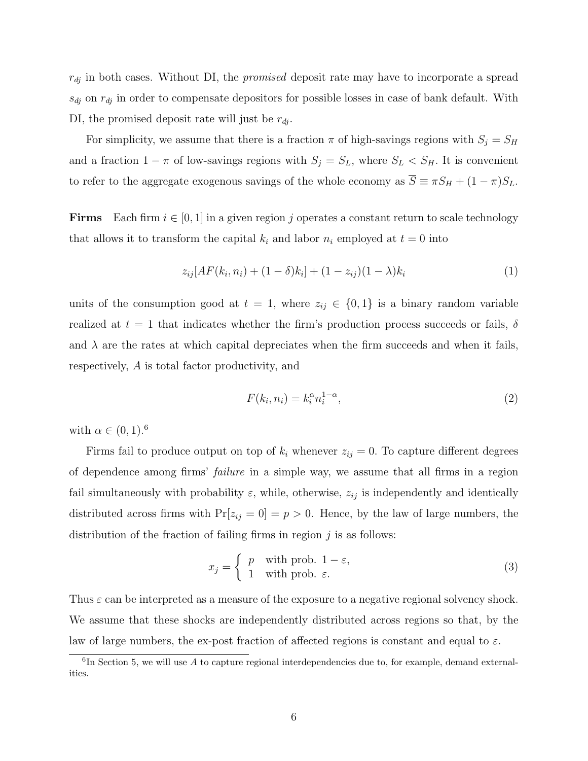$r_{dj}$  in both cases. Without DI, the *promised* deposit rate may have to incorporate a spread  $s_{dj}$  on  $r_{dj}$  in order to compensate depositors for possible losses in case of bank default. With DI, the promised deposit rate will just be  $r_{dj}$ .

For simplicity, we assume that there is a fraction  $\pi$  of high-savings regions with  $S_j = S_H$ and a fraction  $1 - \pi$  of low-savings regions with  $S_j = S_L$ , where  $S_L < S_H$ . It is convenient to refer to the aggregate exogenous savings of the whole economy as  $\overline{S} \equiv \pi S_H + (1 - \pi)S_L$ .

**Firms** Each firm  $i \in [0, 1]$  in a given region j operates a constant return to scale technology that allows it to transform the capital  $k_i$  and labor  $n_i$  employed at  $t = 0$  into

$$
z_{ij}[AF(k_i, n_i) + (1 - \delta)k_i] + (1 - z_{ij})(1 - \lambda)k_i
$$
\n(1)

units of the consumption good at  $t = 1$ , where  $z_{ij} \in \{0, 1\}$  is a binary random variable realized at  $t = 1$  that indicates whether the firm's production process succeeds or fails,  $\delta$ and  $\lambda$  are the rates at which capital depreciates when the firm succeeds and when it fails, respectively, A is total factor productivity, and

$$
F(k_i, n_i) = k_i^{\alpha} n_i^{1-\alpha},\tag{2}
$$

with  $\alpha \in (0,1).^6$ 

Firms fail to produce output on top of  $k_i$  whenever  $z_{ij} = 0$ . To capture different degrees of dependence among firms' failure in a simple way, we assume that all firms in a region fail simultaneously with probability  $\varepsilon$ , while, otherwise,  $z_{ij}$  is independently and identically distributed across firms with  $Pr[z_{ij} = 0] = p > 0$ . Hence, by the law of large numbers, the distribution of the fraction of failing firms in region  $j$  is as follows:

$$
x_j = \begin{cases} p & \text{with prob. } 1 - \varepsilon, \\ 1 & \text{with prob. } \varepsilon. \end{cases}
$$
 (3)

Thus  $\varepsilon$  can be interpreted as a measure of the exposure to a negative regional solvency shock. We assume that these shocks are independently distributed across regions so that, by the law of large numbers, the ex-post fraction of affected regions is constant and equal to  $\varepsilon$ .

 ${}^{6}$ In Section 5, we will use A to capture regional interdependencies due to, for example, demand externalities.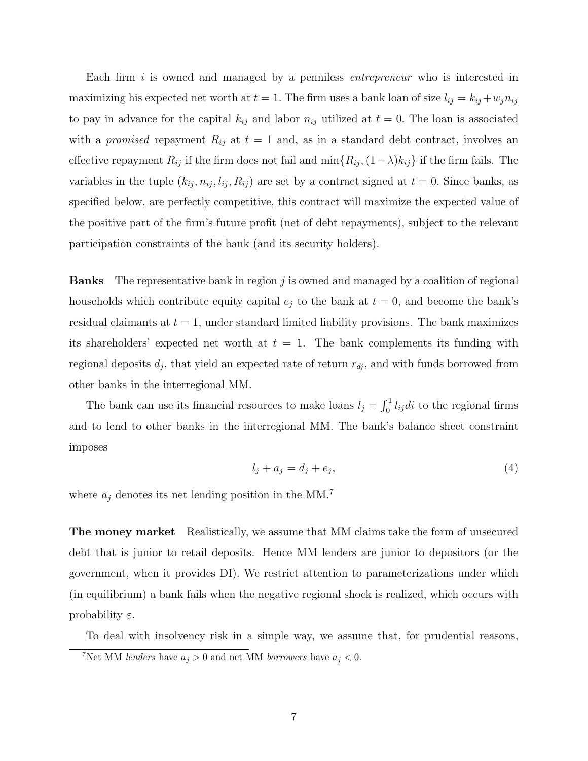Each firm i is owned and managed by a penniless *entrepreneur* who is interested in maximizing his expected net worth at  $t = 1$ . The firm uses a bank loan of size  $l_{ij} = k_{ij} + w_j n_{ij}$ to pay in advance for the capital  $k_{ij}$  and labor  $n_{ij}$  utilized at  $t = 0$ . The loan is associated with a promised repayment  $R_{ij}$  at  $t = 1$  and, as in a standard debt contract, involves an effective repayment  $R_{ij}$  if the firm does not fail and min $\{R_{ij},(1-\lambda)k_{ij}\}\$ if the firm fails. The variables in the tuple  $(k_{ij}, n_{ij}, l_{ij}, R_{ij})$  are set by a contract signed at  $t = 0$ . Since banks, as specified below, are perfectly competitive, this contract will maximize the expected value of the positive part of the firm's future profit (net of debt repayments), subject to the relevant participation constraints of the bank (and its security holders).

**Banks** The representative bank in region  $j$  is owned and managed by a coalition of regional households which contribute equity capital  $e_j$  to the bank at  $t = 0$ , and become the bank's residual claimants at  $t = 1$ , under standard limited liability provisions. The bank maximizes its shareholders' expected net worth at  $t = 1$ . The bank complements its funding with regional deposits  $d_j$ , that yield an expected rate of return  $r_{dj}$ , and with funds borrowed from other banks in the interregional MM.

The bank can use its financial resources to make loans  $l_j = \int_0^1 l_{ij} di$  to the regional firms and to lend to other banks in the interregional MM. The bank's balance sheet constraint imposes

$$
l_j + a_j = d_j + e_j,\tag{4}
$$

where  $a_j$  denotes its net lending position in the MM.<sup>7</sup>

The money market Realistically, we assume that MM claims take the form of unsecured debt that is junior to retail deposits. Hence MM lenders are junior to depositors (or the government, when it provides DI). We restrict attention to parameterizations under which (in equilibrium) a bank fails when the negative regional shock is realized, which occurs with probability  $\varepsilon$ .

To deal with insolvency risk in a simple way, we assume that, for prudential reasons,

<sup>&</sup>lt;sup>7</sup>Net MM *lenders* have  $a_j > 0$  and net MM *borrowers* have  $a_j < 0$ .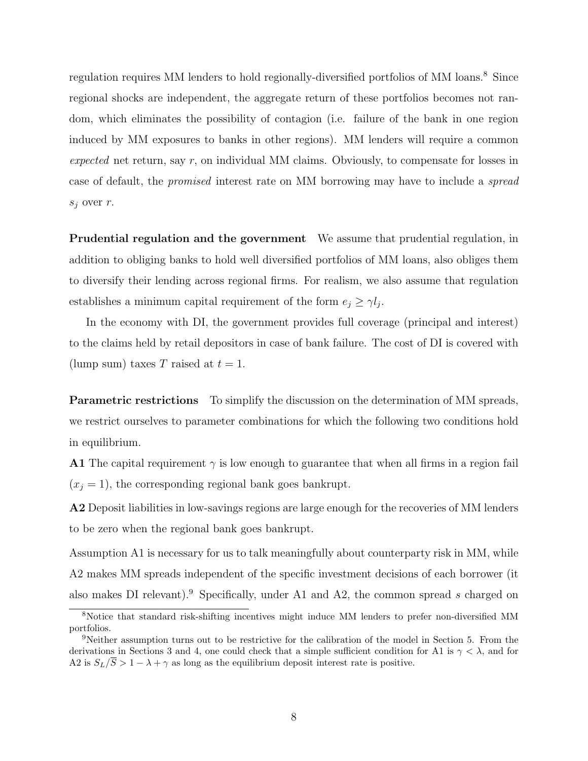regulation requires MM lenders to hold regionally-diversified portfolios of MM loans.<sup>8</sup> Since regional shocks are independent, the aggregate return of these portfolios becomes not random, which eliminates the possibility of contagion (i.e. failure of the bank in one region induced by MM exposures to banks in other regions). MM lenders will require a common expected net return, say r, on individual MM claims. Obviously, to compensate for losses in case of default, the promised interest rate on MM borrowing may have to include a spread  $s_j$  over r.

Prudential regulation and the government We assume that prudential regulation, in addition to obliging banks to hold well diversified portfolios of MM loans, also obliges them to diversify their lending across regional firms. For realism, we also assume that regulation establishes a minimum capital requirement of the form  $e_j \geq \gamma l_j$ .

In the economy with DI, the government provides full coverage (principal and interest) to the claims held by retail depositors in case of bank failure. The cost of DI is covered with (lump sum) taxes T raised at  $t = 1$ .

**Parametric restrictions** To simplify the discussion on the determination of MM spreads, we restrict ourselves to parameter combinations for which the following two conditions hold in equilibrium.

**A1** The capital requirement  $\gamma$  is low enough to guarantee that when all firms in a region fail  $(x_j = 1)$ , the corresponding regional bank goes bankrupt.

A2 Deposit liabilities in low-savings regions are large enough for the recoveries of MM lenders to be zero when the regional bank goes bankrupt.

Assumption A1 is necessary for us to talk meaningfully about counterparty risk in MM, while A2 makes MM spreads independent of the specific investment decisions of each borrower (it also makes DI relevant).<sup>9</sup> Specifically, under A1 and A2, the common spread s charged on

<sup>8</sup>Notice that standard risk-shifting incentives might induce MM lenders to prefer non-diversified MM portfolios.

<sup>9</sup>Neither assumption turns out to be restrictive for the calibration of the model in Section 5. From the derivations in Sections 3 and 4, one could check that a simple sufficient condition for A1 is  $\gamma < \lambda$ , and for A2 is  $S_L/\overline{S} > 1 - \lambda + \gamma$  as long as the equilibrium deposit interest rate is positive.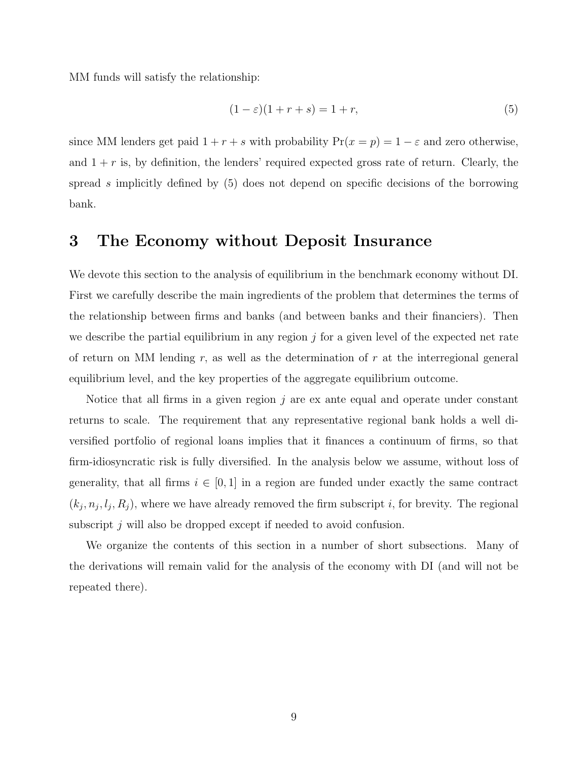MM funds will satisfy the relationship:

$$
(1 - \varepsilon)(1 + r + s) = 1 + r,\t\t(5)
$$

since MM lenders get paid  $1 + r + s$  with probability  $Pr(x = p) = 1 - \varepsilon$  and zero otherwise, and  $1 + r$  is, by definition, the lenders' required expected gross rate of return. Clearly, the spread s implicitly defined by (5) does not depend on specific decisions of the borrowing bank.

## 3 The Economy without Deposit Insurance

We devote this section to the analysis of equilibrium in the benchmark economy without DI. First we carefully describe the main ingredients of the problem that determines the terms of the relationship between firms and banks (and between banks and their financiers). Then we describe the partial equilibrium in any region  $j$  for a given level of the expected net rate of return on MM lending  $r$ , as well as the determination of  $r$  at the interregional general equilibrium level, and the key properties of the aggregate equilibrium outcome.

Notice that all firms in a given region j are ex ante equal and operate under constant returns to scale. The requirement that any representative regional bank holds a well diversified portfolio of regional loans implies that it finances a continuum of firms, so that firm-idiosyncratic risk is fully diversified. In the analysis below we assume, without loss of generality, that all firms  $i \in [0,1]$  in a region are funded under exactly the same contract  $(k_j, n_j, l_j, R_j)$ , where we have already removed the firm subscript i, for brevity. The regional subscript j will also be dropped except if needed to avoid confusion.

We organize the contents of this section in a number of short subsections. Many of the derivations will remain valid for the analysis of the economy with DI (and will not be repeated there).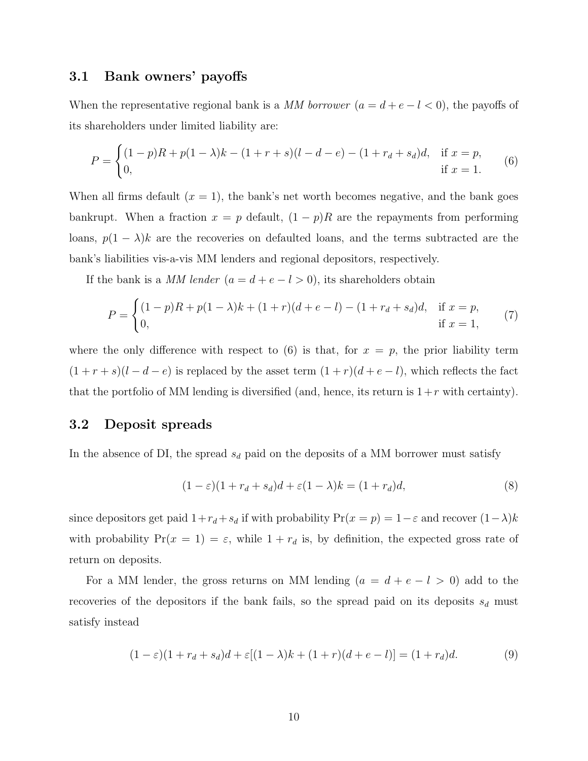#### 3.1 Bank owners' payoffs

When the representative regional bank is a MM borrower  $(a = d + e - l < 0)$ , the payoffs of its shareholders under limited liability are:

$$
P = \begin{cases} (1-p)R + p(1-\lambda)k - (1+r+s)(l-d-e) - (1+r_d+s_d)d, & \text{if } x = p, \\ 0, & \text{if } x = 1. \end{cases}
$$
 (6)

When all firms default  $(x = 1)$ , the bank's net worth becomes negative, and the bank goes bankrupt. When a fraction  $x = p$  default,  $(1 - p)R$  are the repayments from performing loans,  $p(1 - \lambda)k$  are the recoveries on defaulted loans, and the terms subtracted are the bank's liabilities vis-a-vis MM lenders and regional depositors, respectively.

If the bank is a MM lender  $(a = d + e - l > 0)$ , its shareholders obtain

$$
P = \begin{cases} (1-p)R + p(1-\lambda)k + (1+r)(d+e-l) - (1+r_d+s_d)d, & \text{if } x = p, \\ 0, & \text{if } x = 1, \end{cases}
$$
(7)

where the only difference with respect to  $(6)$  is that, for  $x = p$ , the prior liability term  $(1 + r + s)(l - d - e)$  is replaced by the asset term  $(1 + r)(d + e - l)$ , which reflects the fact that the portfolio of MM lending is diversified (and, hence, its return is  $1+r$  with certainty).

#### 3.2 Deposit spreads

In the absence of DI, the spread  $s_d$  paid on the deposits of a MM borrower must satisfy

$$
(1 - \varepsilon)(1 + r_d + s_d)d + \varepsilon(1 - \lambda)k = (1 + r_d)d,
$$
\n(8)

since depositors get paid  $1+r_d+s_d$  if with probability  $Pr(x = p) = 1-\varepsilon$  and recover  $(1-\lambda)k$ with probability  $Pr(x = 1) = \varepsilon$ , while  $1 + r_d$  is, by definition, the expected gross rate of return on deposits.

For a MM lender, the gross returns on MM lending  $(a = d + e - l > 0)$  add to the recoveries of the depositors if the bank fails, so the spread paid on its deposits  $s_d$  must satisfy instead

$$
(1 - \varepsilon)(1 + r_d + s_d)d + \varepsilon[(1 - \lambda)k + (1 + r)(d + e - l)] = (1 + r_d)d.
$$
 (9)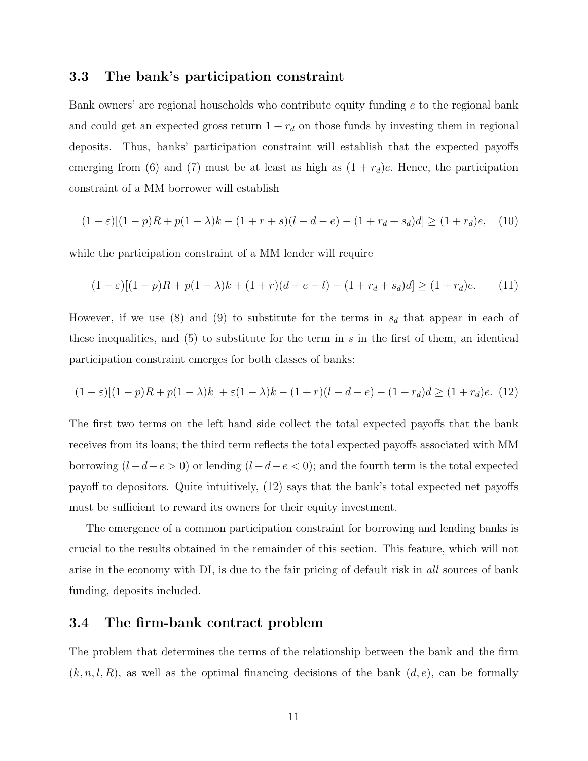#### 3.3 The bank's participation constraint

Bank owners' are regional households who contribute equity funding e to the regional bank and could get an expected gross return  $1 + r_d$  on those funds by investing them in regional deposits. Thus, banks' participation constraint will establish that the expected payoffs emerging from (6) and (7) must be at least as high as  $(1 + r_d)e$ . Hence, the participation constraint of a MM borrower will establish

$$
(1 - \varepsilon)[(1 - p)R + p(1 - \lambda)k - (1 + r + s)(l - d - e) - (1 + r_d + s_d)d] \ge (1 + r_d)e,
$$
 (10)

while the participation constraint of a MM lender will require

$$
(1 - \varepsilon)[(1 - p)R + p(1 - \lambda)k + (1 + r)(d + e - l) - (1 + r_d + s_d)d] \ge (1 + r_d)e.
$$
 (11)

However, if we use (8) and (9) to substitute for the terms in  $s_d$  that appear in each of these inequalities, and  $(5)$  to substitute for the term in s in the first of them, an identical participation constraint emerges for both classes of banks:

$$
(1 - \varepsilon)[(1 - p)R + p(1 - \lambda)k] + \varepsilon(1 - \lambda)k - (1 + r)(1 - d - e) - (1 + r_d)d \ge (1 + r_d)e.
$$
 (12)

The first two terms on the left hand side collect the total expected payoffs that the bank receives from its loans; the third term reflects the total expected payoffs associated with MM borrowing  $(l-d-e > 0)$  or lending  $(l-d-e < 0)$ ; and the fourth term is the total expected payoff to depositors. Quite intuitively, (12) says that the bank's total expected net payoffs must be sufficient to reward its owners for their equity investment.

The emergence of a common participation constraint for borrowing and lending banks is crucial to the results obtained in the remainder of this section. This feature, which will not arise in the economy with DI, is due to the fair pricing of default risk in all sources of bank funding, deposits included.

#### 3.4 The firm-bank contract problem

The problem that determines the terms of the relationship between the bank and the firm  $(k, n, l, R)$ , as well as the optimal financing decisions of the bank  $(d, e)$ , can be formally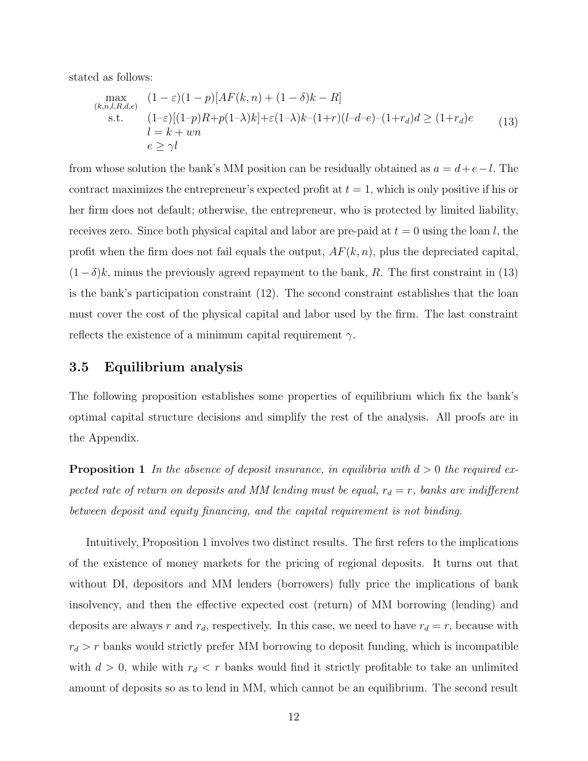stated as follows:

$$
\max_{\substack{(k,n,l,R,d,e) \\ \text{s.t.}}} \quad (1-\varepsilon)(1-p)[AF(k,n) + (1-\delta)k - R] \\ \text{s.t.} \quad (1-\varepsilon)[(1-p)R + p(1-\lambda)k] + \varepsilon(1-\lambda)k - (1+r)(l-d-e) - (1+r_d)d \ge (1+r_d)e \\ l = k + wn \\ e \ge \gamma l \tag{13}
$$

from whose solution the bank's MM position can be residually obtained as  $a = d + e - l$ . The contract maximizes the entrepreneur's expected profit at  $t = 1$ , which is only positive if his or her firm does not default; otherwise, the entrepreneur, who is protected by limited liability, receives zero. Since both physical capital and labor are pre-paid at  $t = 0$  using the loan l, the profit when the firm does not fail equals the output,  $AF(k, n)$ , plus the depreciated capital,  $(1-\delta)k$ , minus the previously agreed repayment to the bank, R. The first constraint in (13) is the bank's participation constraint (12). The second constraint establishes that the loan must cover the cost of the physical capital and labor used by the firm. The last constraint reflects the existence of a minimum capital requirement  $\gamma$ .

#### 3.5 Equilibrium analysis

The following proposition establishes some properties of equilibrium which fix the bank's optimal capital structure decisions and simplify the rest of the analysis. All proofs are in the Appendix.

**Proposition 1** In the absence of deposit insurance, in equilibria with  $d > 0$  the required expected rate of return on deposits and MM lending must be equal,  $r_d = r$ , banks are indifferent between deposit and equity financing, and the capital requirement is not binding.

Intuitively, Proposition 1 involves two distinct results. The first refers to the implications of the existence of money markets for the pricing of regional deposits. It turns out that without DI, depositors and MM lenders (borrowers) fully price the implications of bank insolvency, and then the effective expected cost (return) of MM borrowing (lending) and deposits are always r and  $r_d$ , respectively. In this case, we need to have  $r_d = r$ , because with  $r_d > r$  banks would strictly prefer MM borrowing to deposit funding, which is incompatible with  $d > 0$ , while with  $r_d < r$  banks would find it strictly profitable to take an unlimited amount of deposits so as to lend in MM, which cannot be an equilibrium. The second result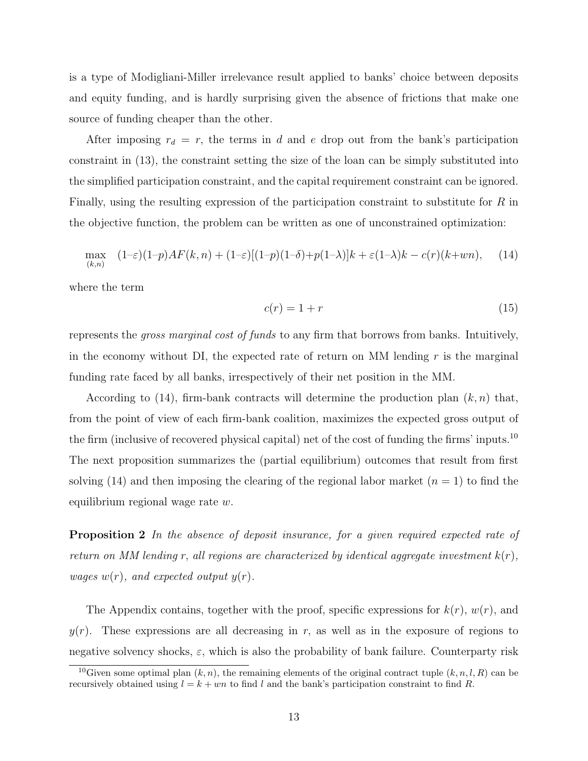is a type of Modigliani-Miller irrelevance result applied to banks' choice between deposits and equity funding, and is hardly surprising given the absence of frictions that make one source of funding cheaper than the other.

After imposing  $r_d = r$ , the terms in d and e drop out from the bank's participation constraint in (13), the constraint setting the size of the loan can be simply substituted into the simplified participation constraint, and the capital requirement constraint can be ignored. Finally, using the resulting expression of the participation constraint to substitute for R in the objective function, the problem can be written as one of unconstrained optimization:

$$
\max_{(k,n)} \quad (1-\varepsilon)(1-p)AF(k,n) + (1-\varepsilon)[(1-p)(1-\delta) + p(1-\lambda)]k + \varepsilon(1-\lambda)k - c(r)(k+wn), \tag{14}
$$

where the term

$$
c(r) = 1 + r \tag{15}
$$

represents the gross marginal cost of funds to any firm that borrows from banks. Intuitively, in the economy without DI, the expected rate of return on MM lending  $r$  is the marginal funding rate faced by all banks, irrespectively of their net position in the MM.

According to (14), firm-bank contracts will determine the production plan  $(k, n)$  that, from the point of view of each firm-bank coalition, maximizes the expected gross output of the firm (inclusive of recovered physical capital) net of the cost of funding the firms' inputs.<sup>10</sup> The next proposition summarizes the (partial equilibrium) outcomes that result from first solving (14) and then imposing the clearing of the regional labor market  $(n = 1)$  to find the equilibrium regional wage rate w.

**Proposition 2** In the absence of deposit insurance, for a given required expected rate of return on MM lending r, all regions are characterized by identical aggregate investment  $k(r)$ , wages  $w(r)$ , and expected output  $y(r)$ .

The Appendix contains, together with the proof, specific expressions for  $k(r)$ ,  $w(r)$ , and  $y(r)$ . These expressions are all decreasing in r, as well as in the exposure of regions to negative solvency shocks,  $\varepsilon$ , which is also the probability of bank failure. Counterparty risk

<sup>&</sup>lt;sup>10</sup>Given some optimal plan  $(k, n)$ , the remaining elements of the original contract tuple  $(k, n, l, R)$  can be recursively obtained using  $l = k + w\eta$  to find l and the bank's participation constraint to find R.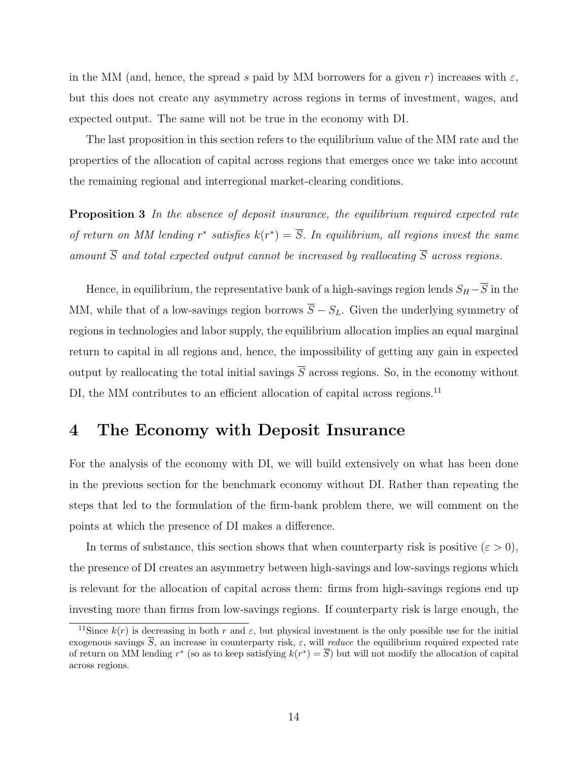in the MM (and, hence, the spread s paid by MM borrowers for a given r) increases with  $\varepsilon$ , but this does not create any asymmetry across regions in terms of investment, wages, and expected output. The same will not be true in the economy with DI.

The last proposition in this section refers to the equilibrium value of the MM rate and the properties of the allocation of capital across regions that emerges once we take into account the remaining regional and interregional market-clearing conditions.

**Proposition 3** In the absence of deposit insurance, the equilibrium required expected rate of return on MM lending r<sup>\*</sup> satisfies  $k(r^*) = \overline{S}$ . In equilibrium, all regions invest the same amount  $\overline{S}$  and total expected output cannot be increased by reallocating  $\overline{S}$  across regions.

Hence, in equilibrium, the representative bank of a high-savings region lends  $S_H - \overline{S}$  in the MM, while that of a low-savings region borrows  $\overline{S} - S_L$ . Given the underlying symmetry of regions in technologies and labor supply, the equilibrium allocation implies an equal marginal return to capital in all regions and, hence, the impossibility of getting any gain in expected output by reallocating the total initial savings  $\overline{S}$  across regions. So, in the economy without DI, the MM contributes to an efficient allocation of capital across regions.<sup>11</sup>

## 4 The Economy with Deposit Insurance

For the analysis of the economy with DI, we will build extensively on what has been done in the previous section for the benchmark economy without DI. Rather than repeating the steps that led to the formulation of the firm-bank problem there, we will comment on the points at which the presence of DI makes a difference.

In terms of substance, this section shows that when counterparty risk is positive ( $\varepsilon > 0$ ), the presence of DI creates an asymmetry between high-savings and low-savings regions which is relevant for the allocation of capital across them: firms from high-savings regions end up investing more than firms from low-savings regions. If counterparty risk is large enough, the

<sup>&</sup>lt;sup>11</sup>Since  $k(r)$  is decreasing in both r and  $\varepsilon$ , but physical investment is the only possible use for the initial exogenous savings  $\overline{S}$ , an increase in counterparty risk,  $\varepsilon$ , will *reduce* the equilibrium required expected rate of return on MM lending  $r^*$  (so as to keep satisfying  $k(r^*) = \overline{S}$ ) but will not modify the allocation of capital across regions.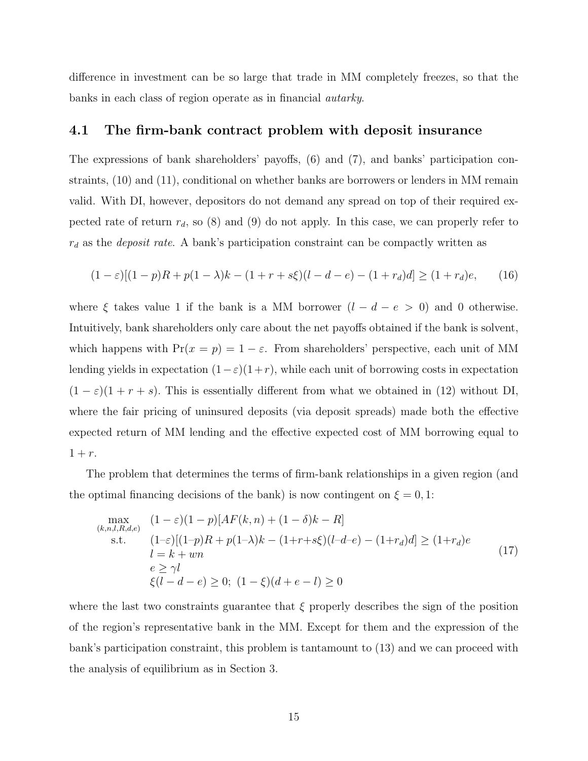difference in investment can be so large that trade in MM completely freezes, so that the banks in each class of region operate as in financial autarky.

#### 4.1 The firm-bank contract problem with deposit insurance

The expressions of bank shareholders' payoffs, (6) and (7), and banks' participation constraints, (10) and (11), conditional on whether banks are borrowers or lenders in MM remain valid. With DI, however, depositors do not demand any spread on top of their required expected rate of return  $r_d$ , so (8) and (9) do not apply. In this case, we can properly refer to  $r_d$  as the *deposit rate*. A bank's participation constraint can be compactly written as

$$
(1 - \varepsilon)[(1 - p)R + p(1 - \lambda)k - (1 + r + s\xi)(l - d - e) - (1 + r_d)d] \ge (1 + r_d)e,
$$
 (16)

where  $\xi$  takes value 1 if the bank is a MM borrower  $(l - d - e > 0)$  and 0 otherwise. Intuitively, bank shareholders only care about the net payoffs obtained if the bank is solvent, which happens with  $Pr(x = p) = 1 - \varepsilon$ . From shareholders' perspective, each unit of MM lending yields in expectation  $(1-\varepsilon)(1+r)$ , while each unit of borrowing costs in expectation  $(1 - \varepsilon)(1 + r + s)$ . This is essentially different from what we obtained in (12) without DI, where the fair pricing of uninsured deposits (via deposit spreads) made both the effective expected return of MM lending and the effective expected cost of MM borrowing equal to  $1 + r$ .

The problem that determines the terms of firm-bank relationships in a given region (and the optimal financing decisions of the bank) is now contingent on  $\xi = 0, 1$ :

$$
\max_{(k,n,l,R,d,e)} (1-\varepsilon)(1-p)[AF(k,n) + (1-\delta)k - R] \n\text{s.t.} \quad (1-\varepsilon)[(1-p)R + p(1-\lambda)k - (1+r+s\xi)(l-d-e) - (1+r_d)d] \ge (1+r_d)e \n\quad l = k + wn \n e \ge \gamma l \n\xi(l-d-e) \ge 0; \ (1-\xi)(d+e-l) \ge 0
$$
\n(17)

where the last two constraints guarantee that  $\xi$  properly describes the sign of the position of the region's representative bank in the MM. Except for them and the expression of the bank's participation constraint, this problem is tantamount to (13) and we can proceed with the analysis of equilibrium as in Section 3.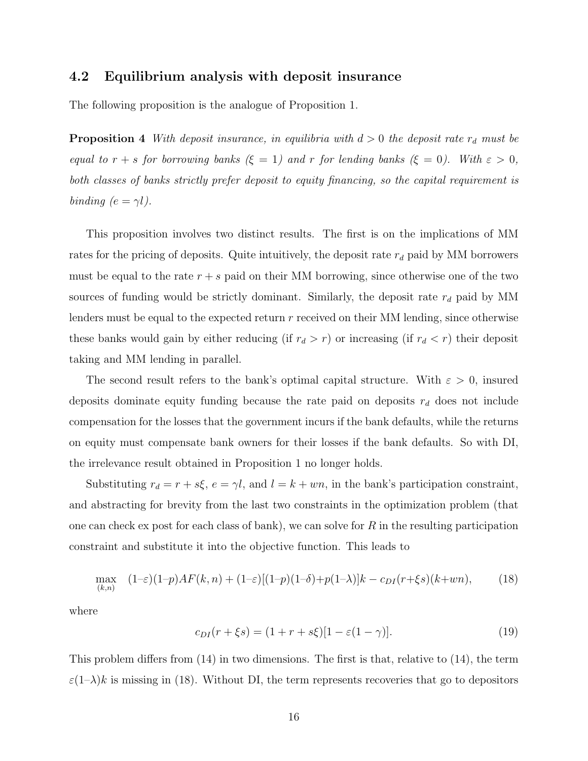#### 4.2 Equilibrium analysis with deposit insurance

The following proposition is the analogue of Proposition 1.

**Proposition 4** With deposit insurance, in equilibria with  $d > 0$  the deposit rate r<sub>d</sub> must be equal to  $r + s$  for borrowing banks  $(\xi = 1)$  and r for lending banks  $(\xi = 0)$ . With  $\varepsilon > 0$ , both classes of banks strictly prefer deposit to equity financing, so the capital requirement is binding  $(e = \gamma l)$ .

This proposition involves two distinct results. The first is on the implications of MM rates for the pricing of deposits. Quite intuitively, the deposit rate  $r_d$  paid by MM borrowers must be equal to the rate  $r + s$  paid on their MM borrowing, since otherwise one of the two sources of funding would be strictly dominant. Similarly, the deposit rate  $r_d$  paid by MM lenders must be equal to the expected return  $r$  received on their MM lending, since otherwise these banks would gain by either reducing (if  $r_d > r$ ) or increasing (if  $r_d < r$ ) their deposit taking and MM lending in parallel.

The second result refers to the bank's optimal capital structure. With  $\varepsilon > 0$ , insured deposits dominate equity funding because the rate paid on deposits  $r_d$  does not include compensation for the losses that the government incurs if the bank defaults, while the returns on equity must compensate bank owners for their losses if the bank defaults. So with DI, the irrelevance result obtained in Proposition 1 no longer holds.

Substituting  $r_d = r + s\xi$ ,  $e = \gamma l$ , and  $l = k + wn$ , in the bank's participation constraint, and abstracting for brevity from the last two constraints in the optimization problem (that one can check ex post for each class of bank), we can solve for  $R$  in the resulting participation constraint and substitute it into the objective function. This leads to

$$
\max_{(k,n)} (1-\varepsilon)(1-p)AF(k,n) + (1-\varepsilon)[(1-p)(1-\delta) + p(1-\lambda)]k - c_{DI}(r+\xi s)(k+wn), \tag{18}
$$

where

$$
c_{DI}(r + \xi s) = (1 + r + s\xi)[1 - \varepsilon(1 - \gamma)].
$$
\n(19)

This problem differs from (14) in two dimensions. The first is that, relative to (14), the term  $\varepsilon(1-\lambda)k$  is missing in (18). Without DI, the term represents recoveries that go to depositors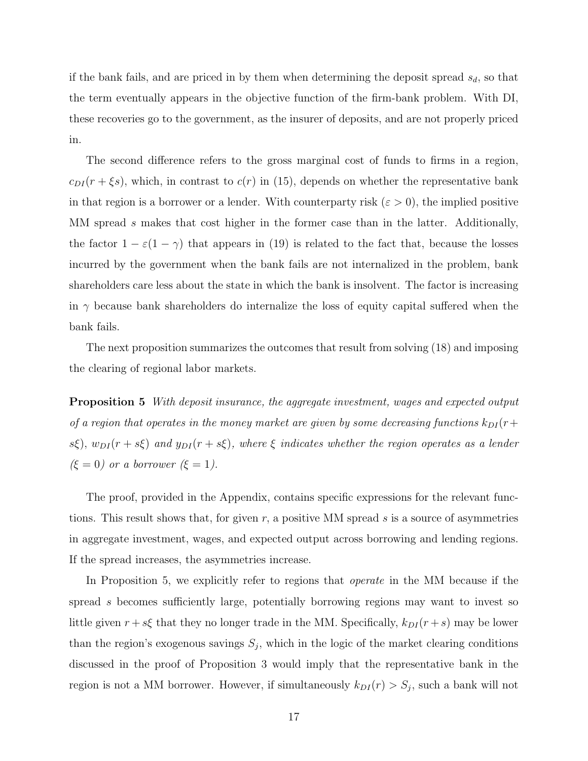if the bank fails, and are priced in by them when determining the deposit spread  $s_d$ , so that the term eventually appears in the objective function of the firm-bank problem. With DI, these recoveries go to the government, as the insurer of deposits, and are not properly priced in.

The second difference refers to the gross marginal cost of funds to firms in a region,  $c_{DI}(r + \xi s)$ , which, in contrast to  $c(r)$  in (15), depends on whether the representative bank in that region is a borrower or a lender. With counterparty risk ( $\varepsilon > 0$ ), the implied positive MM spread s makes that cost higher in the former case than in the latter. Additionally, the factor  $1 - \varepsilon(1 - \gamma)$  that appears in (19) is related to the fact that, because the losses incurred by the government when the bank fails are not internalized in the problem, bank shareholders care less about the state in which the bank is insolvent. The factor is increasing in  $\gamma$  because bank shareholders do internalize the loss of equity capital suffered when the bank fails.

The next proposition summarizes the outcomes that result from solving (18) and imposing the clearing of regional labor markets.

Proposition 5 With deposit insurance, the aggregate investment, wages and expected output of a region that operates in the money market are given by some decreasing functions  $k_{DI}(r+$ sξ),  $w_{DI}(r + s\xi)$  and  $y_{DI}(r + s\xi)$ , where  $\xi$  indicates whether the region operates as a lender  $(\xi = 0)$  or a borrower  $(\xi = 1)$ .

The proof, provided in the Appendix, contains specific expressions for the relevant functions. This result shows that, for given r, a positive MM spread s is a source of asymmetries in aggregate investment, wages, and expected output across borrowing and lending regions. If the spread increases, the asymmetries increase.

In Proposition 5, we explicitly refer to regions that *operate* in the MM because if the spread s becomes sufficiently large, potentially borrowing regions may want to invest so little given  $r + s\xi$  that they no longer trade in the MM. Specifically,  $k_{DI}(r + s)$  may be lower than the region's exogenous savings  $S_j$ , which in the logic of the market clearing conditions discussed in the proof of Proposition 3 would imply that the representative bank in the region is not a MM borrower. However, if simultaneously  $k_{DI}(r) > S_j$ , such a bank will not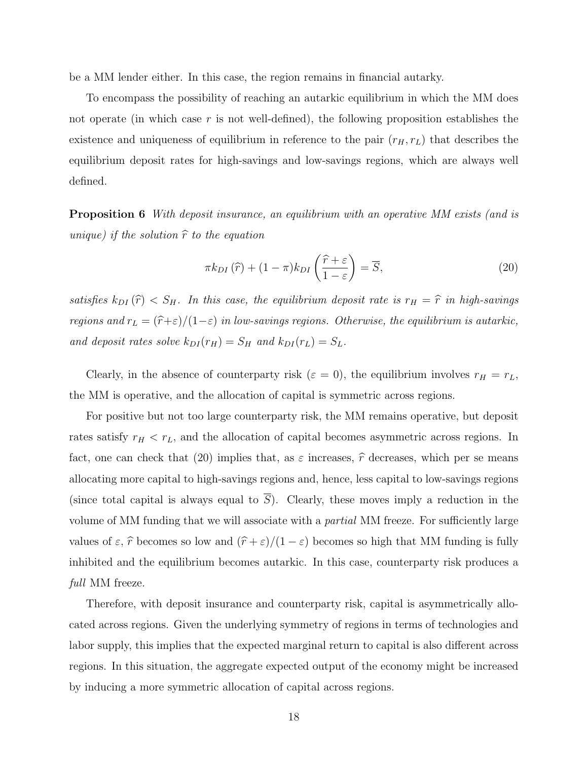be a MM lender either. In this case, the region remains in financial autarky.

To encompass the possibility of reaching an autarkic equilibrium in which the MM does not operate (in which case r is not well-defined), the following proposition establishes the existence and uniqueness of equilibrium in reference to the pair  $(r_H, r_L)$  that describes the equilibrium deposit rates for high-savings and low-savings regions, which are always well defined.

**Proposition 6** With deposit insurance, an equilibrium with an operative MM exists (and is unique) if the solution  $\hat{r}$  to the equation

$$
\pi k_{DI}(\hat{r}) + (1 - \pi)k_{DI}\left(\frac{\hat{r} + \varepsilon}{1 - \varepsilon}\right) = \overline{S},\tag{20}
$$

satisfies  $k_{DI}(\hat{r}) < S_H$ . In this case, the equilibrium deposit rate is  $r_H = \hat{r}$  in high-savings regions and  $r_L = (\hat{r}+\varepsilon)/(1-\varepsilon)$  in low-savings regions. Otherwise, the equilibrium is autarkic, and deposit rates solve  $k_{DI}(r_H) = S_H$  and  $k_{DI}(r_L) = S_L$ .

Clearly, in the absence of counterparty risk ( $\varepsilon = 0$ ), the equilibrium involves  $r_H = r_L$ , the MM is operative, and the allocation of capital is symmetric across regions.

For positive but not too large counterparty risk, the MM remains operative, but deposit rates satisfy  $r_H < r_L$ , and the allocation of capital becomes asymmetric across regions. In fact, one can check that (20) implies that, as  $\varepsilon$  increases,  $\hat{r}$  decreases, which per se means allocating more capital to high-savings regions and, hence, less capital to low-savings regions (since total capital is always equal to  $\overline{S}$ ). Clearly, these moves imply a reduction in the volume of MM funding that we will associate with a *partial* MM freeze. For sufficiently large values of  $\varepsilon$ ,  $\hat{r}$  becomes so low and  $(\hat{r} + \varepsilon)/(1 - \varepsilon)$  becomes so high that MM funding is fully inhibited and the equilibrium becomes autarkic. In this case, counterparty risk produces a full MM freeze.

Therefore, with deposit insurance and counterparty risk, capital is asymmetrically allocated across regions. Given the underlying symmetry of regions in terms of technologies and labor supply, this implies that the expected marginal return to capital is also different across regions. In this situation, the aggregate expected output of the economy might be increased by inducing a more symmetric allocation of capital across regions.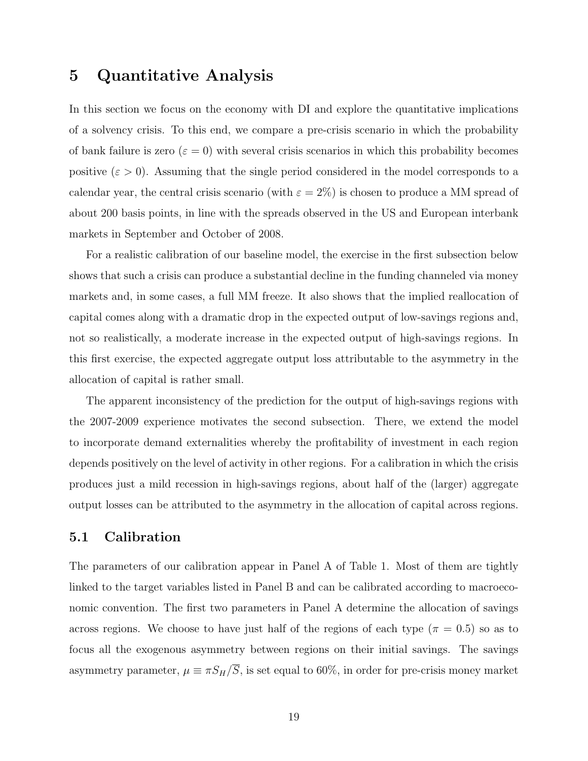## 5 Quantitative Analysis

In this section we focus on the economy with DI and explore the quantitative implications of a solvency crisis. To this end, we compare a pre-crisis scenario in which the probability of bank failure is zero  $(\epsilon = 0)$  with several crisis scenarios in which this probability becomes positive  $(\varepsilon > 0)$ . Assuming that the single period considered in the model corresponds to a calendar year, the central crisis scenario (with  $\varepsilon = 2\%$ ) is chosen to produce a MM spread of about 200 basis points, in line with the spreads observed in the US and European interbank markets in September and October of 2008.

For a realistic calibration of our baseline model, the exercise in the first subsection below shows that such a crisis can produce a substantial decline in the funding channeled via money markets and, in some cases, a full MM freeze. It also shows that the implied reallocation of capital comes along with a dramatic drop in the expected output of low-savings regions and, not so realistically, a moderate increase in the expected output of high-savings regions. In this first exercise, the expected aggregate output loss attributable to the asymmetry in the allocation of capital is rather small.

The apparent inconsistency of the prediction for the output of high-savings regions with the 2007-2009 experience motivates the second subsection. There, we extend the model to incorporate demand externalities whereby the profitability of investment in each region depends positively on the level of activity in other regions. For a calibration in which the crisis produces just a mild recession in high-savings regions, about half of the (larger) aggregate output losses can be attributed to the asymmetry in the allocation of capital across regions.

### 5.1 Calibration

The parameters of our calibration appear in Panel A of Table 1. Most of them are tightly linked to the target variables listed in Panel B and can be calibrated according to macroeconomic convention. The first two parameters in Panel A determine the allocation of savings across regions. We choose to have just half of the regions of each type ( $\pi = 0.5$ ) so as to focus all the exogenous asymmetry between regions on their initial savings. The savings asymmetry parameter,  $\mu \equiv \pi S_H/\overline{S}$ , is set equal to 60%, in order for pre-crisis money market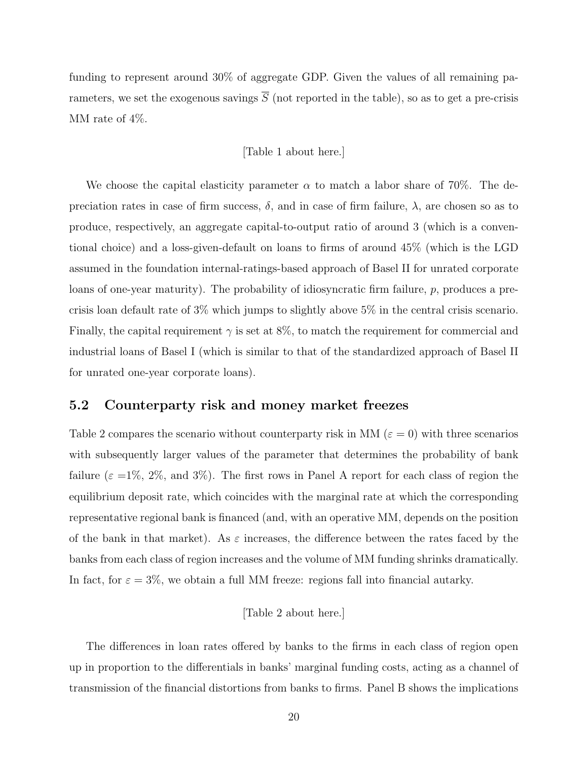funding to represent around 30% of aggregate GDP. Given the values of all remaining parameters, we set the exogenous savings  $\overline{S}$  (not reported in the table), so as to get a pre-crisis MM rate of 4%.

#### [Table 1 about here.]

We choose the capital elasticity parameter  $\alpha$  to match a labor share of 70%. The depreciation rates in case of firm success,  $\delta$ , and in case of firm failure,  $\lambda$ , are chosen so as to produce, respectively, an aggregate capital-to-output ratio of around 3 (which is a conventional choice) and a loss-given-default on loans to firms of around 45% (which is the LGD assumed in the foundation internal-ratings-based approach of Basel II for unrated corporate loans of one-year maturity). The probability of idiosyncratic firm failure, p, produces a precrisis loan default rate of 3% which jumps to slightly above 5% in the central crisis scenario. Finally, the capital requirement  $\gamma$  is set at 8%, to match the requirement for commercial and industrial loans of Basel I (which is similar to that of the standardized approach of Basel II for unrated one-year corporate loans).

#### 5.2 Counterparty risk and money market freezes

Table 2 compares the scenario without counterparty risk in MM ( $\varepsilon = 0$ ) with three scenarios with subsequently larger values of the parameter that determines the probability of bank failure ( $\varepsilon = 1\%$ , 2%, and 3%). The first rows in Panel A report for each class of region the equilibrium deposit rate, which coincides with the marginal rate at which the corresponding representative regional bank is financed (and, with an operative MM, depends on the position of the bank in that market). As  $\varepsilon$  increases, the difference between the rates faced by the banks from each class of region increases and the volume of MM funding shrinks dramatically. In fact, for  $\varepsilon = 3\%$ , we obtain a full MM freeze: regions fall into financial autarky.

#### [Table 2 about here.]

The differences in loan rates offered by banks to the firms in each class of region open up in proportion to the differentials in banks' marginal funding costs, acting as a channel of transmission of the financial distortions from banks to firms. Panel B shows the implications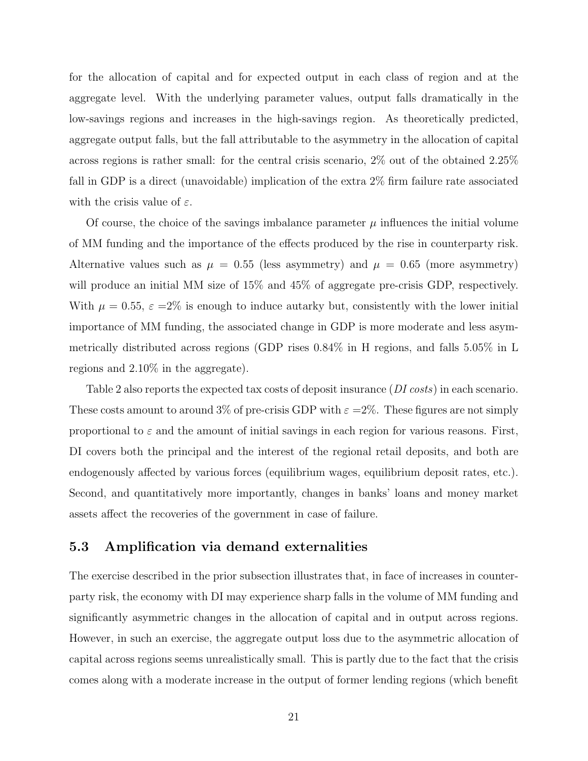for the allocation of capital and for expected output in each class of region and at the aggregate level. With the underlying parameter values, output falls dramatically in the low-savings regions and increases in the high-savings region. As theoretically predicted, aggregate output falls, but the fall attributable to the asymmetry in the allocation of capital across regions is rather small: for the central crisis scenario, 2% out of the obtained 2.25% fall in GDP is a direct (unavoidable) implication of the extra 2% firm failure rate associated with the crisis value of  $\varepsilon$ .

Of course, the choice of the savings imbalance parameter  $\mu$  influences the initial volume of MM funding and the importance of the effects produced by the rise in counterparty risk. Alternative values such as  $\mu = 0.55$  (less asymmetry) and  $\mu = 0.65$  (more asymmetry) will produce an initial MM size of  $15\%$  and  $45\%$  of aggregate pre-crisis GDP, respectively. With  $\mu = 0.55$ ,  $\varepsilon = 2\%$  is enough to induce autarky but, consistently with the lower initial importance of MM funding, the associated change in GDP is more moderate and less asymmetrically distributed across regions (GDP rises 0.84% in H regions, and falls 5.05% in L regions and 2.10% in the aggregate).

Table 2 also reports the expected tax costs of deposit insurance (*DI costs*) in each scenario. These costs amount to around 3% of pre-crisis GDP with  $\varepsilon = 2\%$ . These figures are not simply proportional to  $\varepsilon$  and the amount of initial savings in each region for various reasons. First, DI covers both the principal and the interest of the regional retail deposits, and both are endogenously affected by various forces (equilibrium wages, equilibrium deposit rates, etc.). Second, and quantitatively more importantly, changes in banks' loans and money market assets affect the recoveries of the government in case of failure.

#### 5.3 Amplification via demand externalities

The exercise described in the prior subsection illustrates that, in face of increases in counterparty risk, the economy with DI may experience sharp falls in the volume of MM funding and significantly asymmetric changes in the allocation of capital and in output across regions. However, in such an exercise, the aggregate output loss due to the asymmetric allocation of capital across regions seems unrealistically small. This is partly due to the fact that the crisis comes along with a moderate increase in the output of former lending regions (which benefit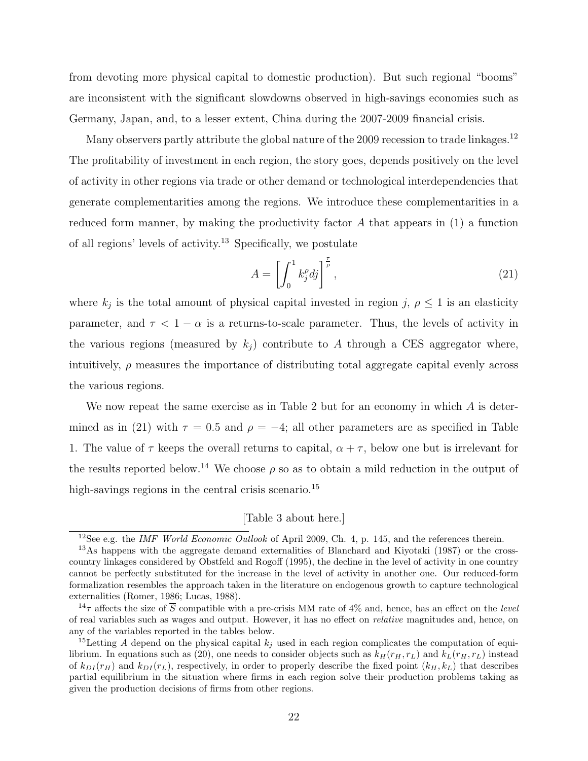from devoting more physical capital to domestic production). But such regional "booms" are inconsistent with the significant slowdowns observed in high-savings economies such as Germany, Japan, and, to a lesser extent, China during the 2007-2009 financial crisis.

Many observers partly attribute the global nature of the 2009 recession to trade linkages.<sup>12</sup> The profitability of investment in each region, the story goes, depends positively on the level of activity in other regions via trade or other demand or technological interdependencies that generate complementarities among the regions. We introduce these complementarities in a reduced form manner, by making the productivity factor  $A$  that appears in  $(1)$  a function of all regions' levels of activity.<sup>13</sup> Specifically, we postulate

$$
A = \left[ \int_0^1 k_j^\rho dj \right]^\frac{\tau}{\rho},\tag{21}
$$

where  $k_j$  is the total amount of physical capital invested in region j,  $\rho \leq 1$  is an elasticity parameter, and  $\tau < 1 - \alpha$  is a returns-to-scale parameter. Thus, the levels of activity in the various regions (measured by  $k_j$ ) contribute to A through a CES aggregator where, intuitively,  $\rho$  measures the importance of distributing total aggregate capital evenly across the various regions.

We now repeat the same exercise as in Table 2 but for an economy in which A is determined as in (21) with  $\tau = 0.5$  and  $\rho = -4$ ; all other parameters are as specified in Table 1. The value of  $\tau$  keeps the overall returns to capital,  $\alpha + \tau$ , below one but is irrelevant for the results reported below.<sup>14</sup> We choose  $\rho$  so as to obtain a mild reduction in the output of high-savings regions in the central crisis scenario.<sup>15</sup>

[Table 3 about here.]

<sup>&</sup>lt;sup>12</sup>See e.g. the *IMF World Economic Outlook* of April 2009, Ch. 4, p. 145, and the references therein.

<sup>13</sup>As happens with the aggregate demand externalities of Blanchard and Kiyotaki (1987) or the crosscountry linkages considered by Obstfeld and Rogoff (1995), the decline in the level of activity in one country cannot be perfectly substituted for the increase in the level of activity in another one. Our reduced-form formalization resembles the approach taken in the literature on endogenous growth to capture technological externalities (Romer, 1986; Lucas, 1988).

<sup>&</sup>lt;sup>14</sup> $\tau$  affects the size of  $\overline{S}$  compatible with a pre-crisis MM rate of 4% and, hence, has an effect on the level of real variables such as wages and output. However, it has no effect on relative magnitudes and, hence, on any of the variables reported in the tables below.

<sup>&</sup>lt;sup>15</sup>Letting A depend on the physical capital  $k_j$  used in each region complicates the computation of equilibrium. In equations such as (20), one needs to consider objects such as  $k_H(r_H, r_L)$  and  $k_L(r_H, r_L)$  instead of  $k_{DI}(r_H)$  and  $k_{DI}(r_L)$ , respectively, in order to properly describe the fixed point  $(k_H, k_L)$  that describes partial equilibrium in the situation where firms in each region solve their production problems taking as given the production decisions of firms from other regions.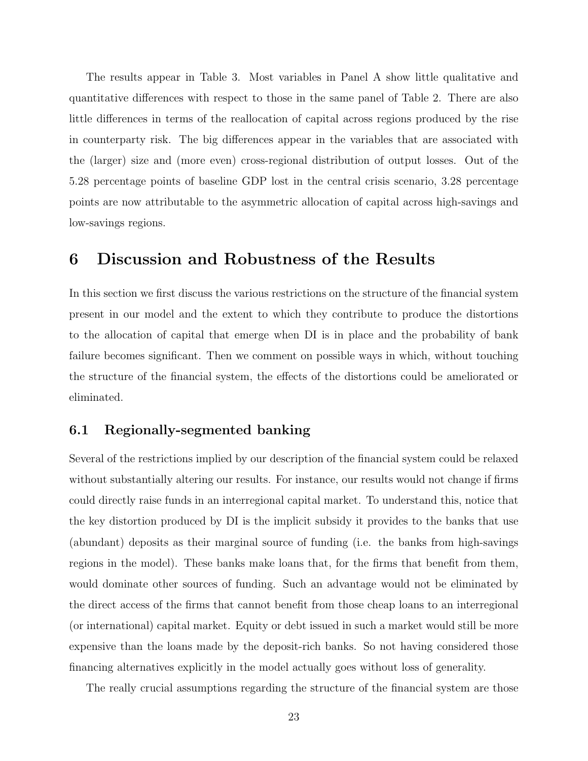The results appear in Table 3. Most variables in Panel A show little qualitative and quantitative differences with respect to those in the same panel of Table 2. There are also little differences in terms of the reallocation of capital across regions produced by the rise in counterparty risk. The big differences appear in the variables that are associated with the (larger) size and (more even) cross-regional distribution of output losses. Out of the 5.28 percentage points of baseline GDP lost in the central crisis scenario, 3.28 percentage points are now attributable to the asymmetric allocation of capital across high-savings and low-savings regions.

## 6 Discussion and Robustness of the Results

In this section we first discuss the various restrictions on the structure of the financial system present in our model and the extent to which they contribute to produce the distortions to the allocation of capital that emerge when DI is in place and the probability of bank failure becomes significant. Then we comment on possible ways in which, without touching the structure of the financial system, the effects of the distortions could be ameliorated or eliminated.

## 6.1 Regionally-segmented banking

Several of the restrictions implied by our description of the financial system could be relaxed without substantially altering our results. For instance, our results would not change if firms could directly raise funds in an interregional capital market. To understand this, notice that the key distortion produced by DI is the implicit subsidy it provides to the banks that use (abundant) deposits as their marginal source of funding (i.e. the banks from high-savings regions in the model). These banks make loans that, for the firms that benefit from them, would dominate other sources of funding. Such an advantage would not be eliminated by the direct access of the firms that cannot benefit from those cheap loans to an interregional (or international) capital market. Equity or debt issued in such a market would still be more expensive than the loans made by the deposit-rich banks. So not having considered those financing alternatives explicitly in the model actually goes without loss of generality.

The really crucial assumptions regarding the structure of the financial system are those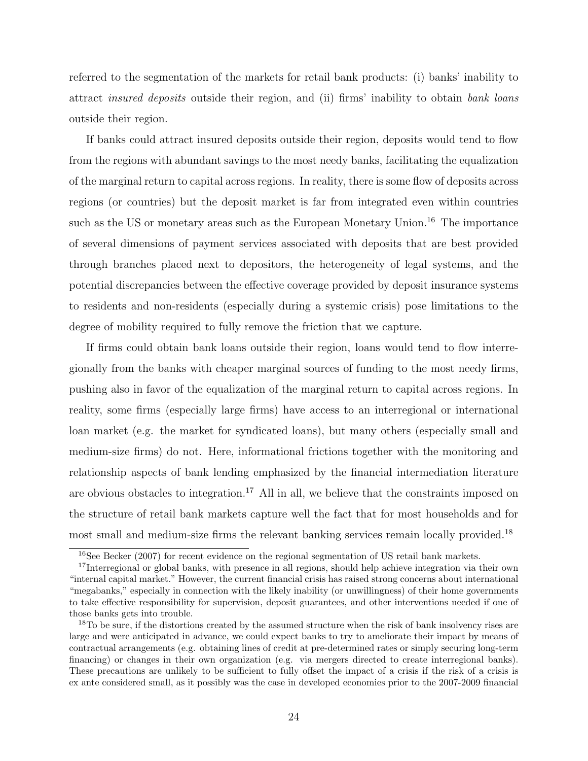referred to the segmentation of the markets for retail bank products: (i) banks' inability to attract insured deposits outside their region, and (ii) firms' inability to obtain bank loans outside their region.

If banks could attract insured deposits outside their region, deposits would tend to flow from the regions with abundant savings to the most needy banks, facilitating the equalization of the marginal return to capital across regions. In reality, there is some flow of deposits across regions (or countries) but the deposit market is far from integrated even within countries such as the US or monetary areas such as the European Monetary Union.<sup>16</sup> The importance of several dimensions of payment services associated with deposits that are best provided through branches placed next to depositors, the heterogeneity of legal systems, and the potential discrepancies between the effective coverage provided by deposit insurance systems to residents and non-residents (especially during a systemic crisis) pose limitations to the degree of mobility required to fully remove the friction that we capture.

If firms could obtain bank loans outside their region, loans would tend to flow interregionally from the banks with cheaper marginal sources of funding to the most needy firms, pushing also in favor of the equalization of the marginal return to capital across regions. In reality, some firms (especially large firms) have access to an interregional or international loan market (e.g. the market for syndicated loans), but many others (especially small and medium-size firms) do not. Here, informational frictions together with the monitoring and relationship aspects of bank lending emphasized by the financial intermediation literature are obvious obstacles to integration.<sup>17</sup> All in all, we believe that the constraints imposed on the structure of retail bank markets capture well the fact that for most households and for most small and medium-size firms the relevant banking services remain locally provided.<sup>18</sup>

<sup>16</sup>See Becker (2007) for recent evidence on the regional segmentation of US retail bank markets.

<sup>&</sup>lt;sup>17</sup>Interregional or global banks, with presence in all regions, should help achieve integration via their own "internal capital market." However, the current financial crisis has raised strong concerns about international "megabanks," especially in connection with the likely inability (or unwillingness) of their home governments to take effective responsibility for supervision, deposit guarantees, and other interventions needed if one of those banks gets into trouble.

<sup>&</sup>lt;sup>18</sup>To be sure, if the distortions created by the assumed structure when the risk of bank insolvency rises are large and were anticipated in advance, we could expect banks to try to ameliorate their impact by means of contractual arrangements (e.g. obtaining lines of credit at pre-determined rates or simply securing long-term financing) or changes in their own organization (e.g. via mergers directed to create interregional banks). These precautions are unlikely to be sufficient to fully offset the impact of a crisis if the risk of a crisis is ex ante considered small, as it possibly was the case in developed economies prior to the 2007-2009 financial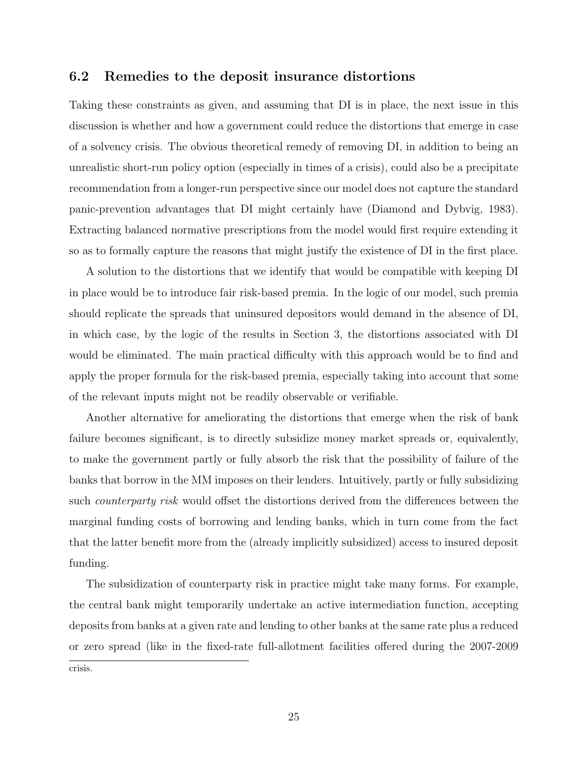#### 6.2 Remedies to the deposit insurance distortions

Taking these constraints as given, and assuming that DI is in place, the next issue in this discussion is whether and how a government could reduce the distortions that emerge in case of a solvency crisis. The obvious theoretical remedy of removing DI, in addition to being an unrealistic short-run policy option (especially in times of a crisis), could also be a precipitate recommendation from a longer-run perspective since our model does not capture the standard panic-prevention advantages that DI might certainly have (Diamond and Dybvig, 1983). Extracting balanced normative prescriptions from the model would first require extending it so as to formally capture the reasons that might justify the existence of DI in the first place.

A solution to the distortions that we identify that would be compatible with keeping DI in place would be to introduce fair risk-based premia. In the logic of our model, such premia should replicate the spreads that uninsured depositors would demand in the absence of DI, in which case, by the logic of the results in Section 3, the distortions associated with DI would be eliminated. The main practical difficulty with this approach would be to find and apply the proper formula for the risk-based premia, especially taking into account that some of the relevant inputs might not be readily observable or verifiable.

Another alternative for ameliorating the distortions that emerge when the risk of bank failure becomes significant, is to directly subsidize money market spreads or, equivalently, to make the government partly or fully absorb the risk that the possibility of failure of the banks that borrow in the MM imposes on their lenders. Intuitively, partly or fully subsidizing such *counterparty risk* would offset the distortions derived from the differences between the marginal funding costs of borrowing and lending banks, which in turn come from the fact that the latter benefit more from the (already implicitly subsidized) access to insured deposit funding.

The subsidization of counterparty risk in practice might take many forms. For example, the central bank might temporarily undertake an active intermediation function, accepting deposits from banks at a given rate and lending to other banks at the same rate plus a reduced or zero spread (like in the fixed-rate full-allotment facilities offered during the 2007-2009 crisis.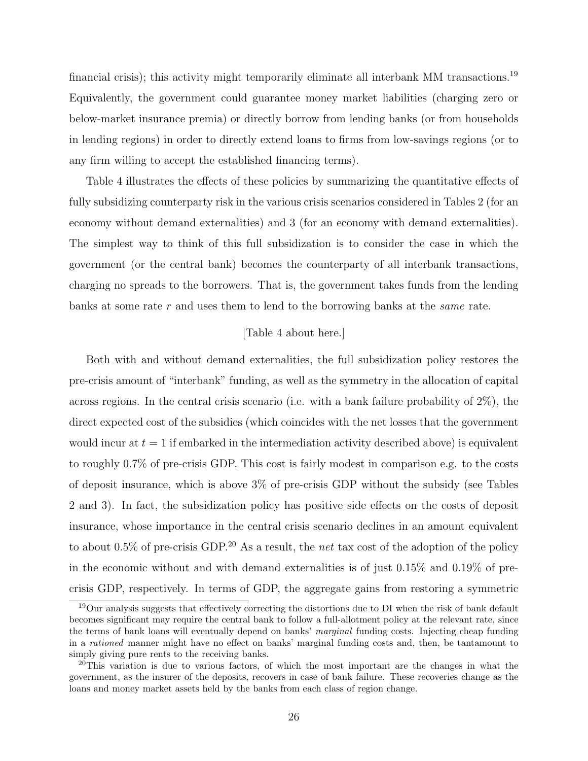financial crisis); this activity might temporarily eliminate all interbank MM transactions.<sup>19</sup> Equivalently, the government could guarantee money market liabilities (charging zero or below-market insurance premia) or directly borrow from lending banks (or from households in lending regions) in order to directly extend loans to firms from low-savings regions (or to any firm willing to accept the established financing terms).

Table 4 illustrates the effects of these policies by summarizing the quantitative effects of fully subsidizing counterparty risk in the various crisis scenarios considered in Tables 2 (for an economy without demand externalities) and 3 (for an economy with demand externalities). The simplest way to think of this full subsidization is to consider the case in which the government (or the central bank) becomes the counterparty of all interbank transactions, charging no spreads to the borrowers. That is, the government takes funds from the lending banks at some rate  $r$  and uses them to lend to the borrowing banks at the *same* rate.

#### [Table 4 about here.]

Both with and without demand externalities, the full subsidization policy restores the pre-crisis amount of "interbank" funding, as well as the symmetry in the allocation of capital across regions. In the central crisis scenario (i.e. with a bank failure probability of 2%), the direct expected cost of the subsidies (which coincides with the net losses that the government would incur at  $t = 1$  if embarked in the intermediation activity described above) is equivalent to roughly 0.7% of pre-crisis GDP. This cost is fairly modest in comparison e.g. to the costs of deposit insurance, which is above 3% of pre-crisis GDP without the subsidy (see Tables 2 and 3). In fact, the subsidization policy has positive side effects on the costs of deposit insurance, whose importance in the central crisis scenario declines in an amount equivalent to about 0.5% of pre-crisis GDP.<sup>20</sup> As a result, the *net* tax cost of the adoption of the policy in the economic without and with demand externalities is of just 0.15% and 0.19% of precrisis GDP, respectively. In terms of GDP, the aggregate gains from restoring a symmetric

<sup>19</sup>Our analysis suggests that effectively correcting the distortions due to DI when the risk of bank default becomes significant may require the central bank to follow a full-allotment policy at the relevant rate, since the terms of bank loans will eventually depend on banks' marginal funding costs. Injecting cheap funding in a rationed manner might have no effect on banks' marginal funding costs and, then, be tantamount to simply giving pure rents to the receiving banks.

<sup>&</sup>lt;sup>20</sup>This variation is due to various factors, of which the most important are the changes in what the government, as the insurer of the deposits, recovers in case of bank failure. These recoveries change as the loans and money market assets held by the banks from each class of region change.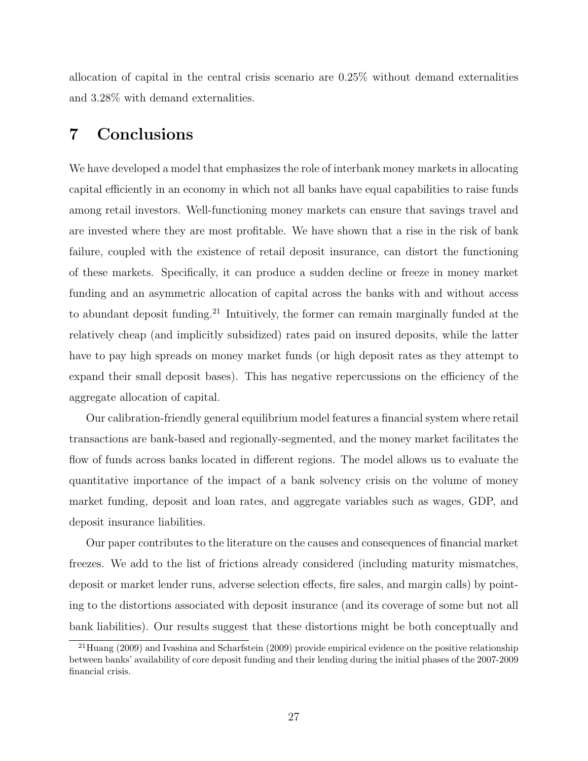allocation of capital in the central crisis scenario are 0.25% without demand externalities and 3.28% with demand externalities.

# 7 Conclusions

We have developed a model that emphasizes the role of interbank money markets in allocating capital efficiently in an economy in which not all banks have equal capabilities to raise funds among retail investors. Well-functioning money markets can ensure that savings travel and are invested where they are most profitable. We have shown that a rise in the risk of bank failure, coupled with the existence of retail deposit insurance, can distort the functioning of these markets. Specifically, it can produce a sudden decline or freeze in money market funding and an asymmetric allocation of capital across the banks with and without access to abundant deposit funding.<sup>21</sup> Intuitively, the former can remain marginally funded at the relatively cheap (and implicitly subsidized) rates paid on insured deposits, while the latter have to pay high spreads on money market funds (or high deposit rates as they attempt to expand their small deposit bases). This has negative repercussions on the efficiency of the aggregate allocation of capital.

Our calibration-friendly general equilibrium model features a financial system where retail transactions are bank-based and regionally-segmented, and the money market facilitates the flow of funds across banks located in different regions. The model allows us to evaluate the quantitative importance of the impact of a bank solvency crisis on the volume of money market funding, deposit and loan rates, and aggregate variables such as wages, GDP, and deposit insurance liabilities.

Our paper contributes to the literature on the causes and consequences of financial market freezes. We add to the list of frictions already considered (including maturity mismatches, deposit or market lender runs, adverse selection effects, fire sales, and margin calls) by pointing to the distortions associated with deposit insurance (and its coverage of some but not all bank liabilities). Our results suggest that these distortions might be both conceptually and

<sup>&</sup>lt;sup>21</sup>Huang (2009) and Ivashina and Scharfstein (2009) provide empirical evidence on the positive relationship between banks' availability of core deposit funding and their lending during the initial phases of the 2007-2009 financial crisis.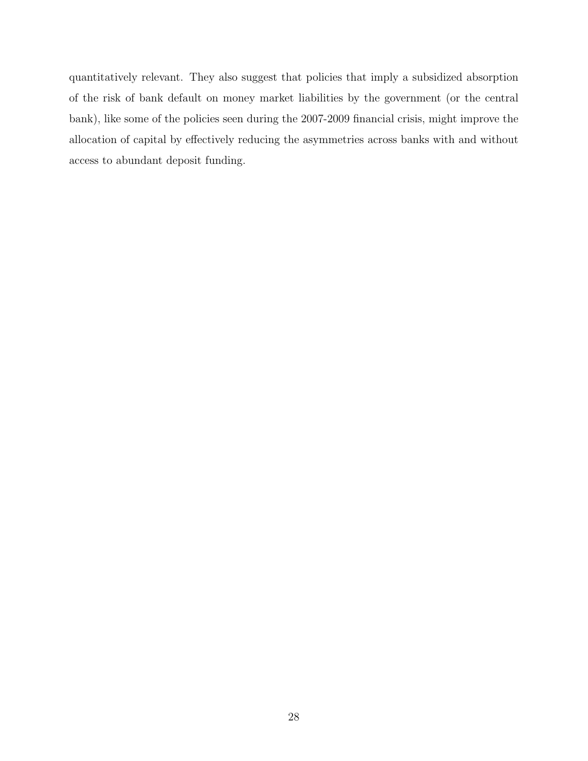quantitatively relevant. They also suggest that policies that imply a subsidized absorption of the risk of bank default on money market liabilities by the government (or the central bank), like some of the policies seen during the 2007-2009 financial crisis, might improve the allocation of capital by effectively reducing the asymmetries across banks with and without access to abundant deposit funding.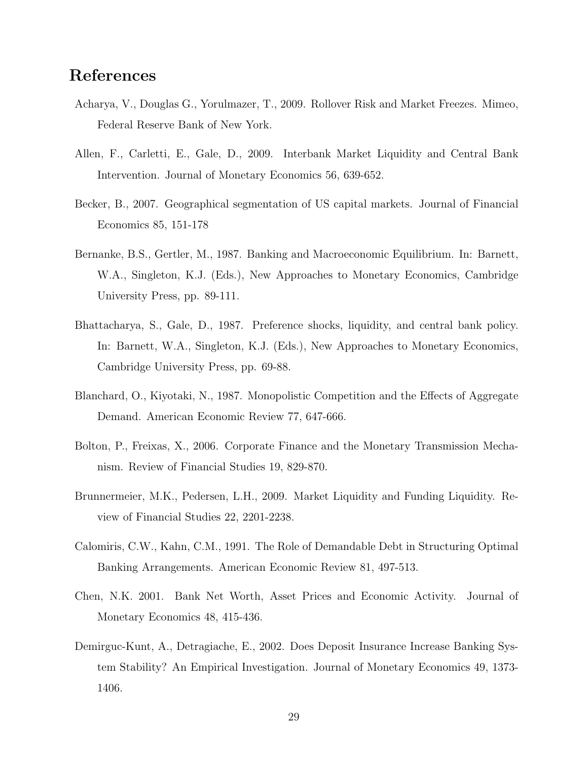# References

- Acharya, V., Douglas G., Yorulmazer, T., 2009. Rollover Risk and Market Freezes. Mimeo, Federal Reserve Bank of New York.
- Allen, F., Carletti, E., Gale, D., 2009. Interbank Market Liquidity and Central Bank Intervention. Journal of Monetary Economics 56, 639-652.
- Becker, B., 2007. Geographical segmentation of US capital markets. Journal of Financial Economics 85, 151-178
- Bernanke, B.S., Gertler, M., 1987. Banking and Macroeconomic Equilibrium. In: Barnett, W.A., Singleton, K.J. (Eds.), New Approaches to Monetary Economics, Cambridge University Press, pp. 89-111.
- Bhattacharya, S., Gale, D., 1987. Preference shocks, liquidity, and central bank policy. In: Barnett, W.A., Singleton, K.J. (Eds.), New Approaches to Monetary Economics, Cambridge University Press, pp. 69-88.
- Blanchard, O., Kiyotaki, N., 1987. Monopolistic Competition and the Effects of Aggregate Demand. American Economic Review 77, 647-666.
- Bolton, P., Freixas, X., 2006. Corporate Finance and the Monetary Transmission Mechanism. Review of Financial Studies 19, 829-870.
- Brunnermeier, M.K., Pedersen, L.H., 2009. Market Liquidity and Funding Liquidity. Review of Financial Studies 22, 2201-2238.
- Calomiris, C.W., Kahn, C.M., 1991. The Role of Demandable Debt in Structuring Optimal Banking Arrangements. American Economic Review 81, 497-513.
- Chen, N.K. 2001. Bank Net Worth, Asset Prices and Economic Activity. Journal of Monetary Economics 48, 415-436.
- Demirguc-Kunt, A., Detragiache, E., 2002. Does Deposit Insurance Increase Banking System Stability? An Empirical Investigation. Journal of Monetary Economics 49, 1373- 1406.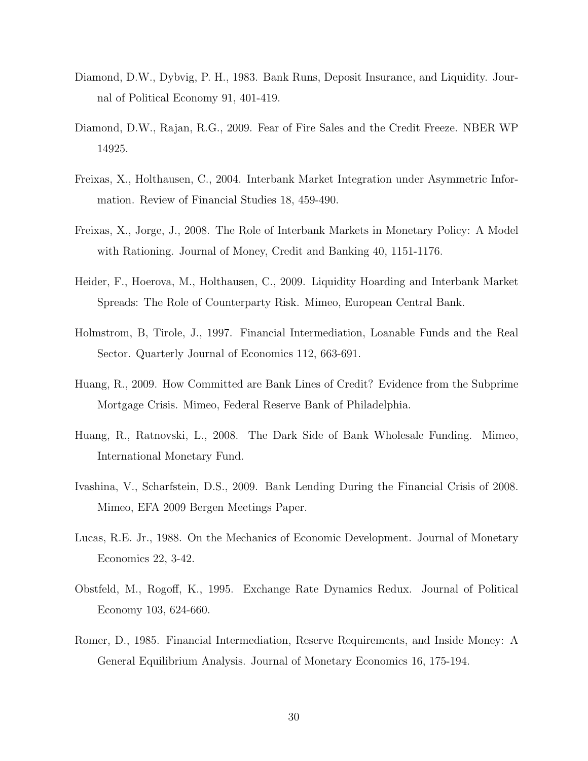- Diamond, D.W., Dybvig, P. H., 1983. Bank Runs, Deposit Insurance, and Liquidity. Journal of Political Economy 91, 401-419.
- Diamond, D.W., Rajan, R.G., 2009. Fear of Fire Sales and the Credit Freeze. NBER WP 14925.
- Freixas, X., Holthausen, C., 2004. Interbank Market Integration under Asymmetric Information. Review of Financial Studies 18, 459-490.
- Freixas, X., Jorge, J., 2008. The Role of Interbank Markets in Monetary Policy: A Model with Rationing. Journal of Money, Credit and Banking 40, 1151-1176.
- Heider, F., Hoerova, M., Holthausen, C., 2009. Liquidity Hoarding and Interbank Market Spreads: The Role of Counterparty Risk. Mimeo, European Central Bank.
- Holmstrom, B, Tirole, J., 1997. Financial Intermediation, Loanable Funds and the Real Sector. Quarterly Journal of Economics 112, 663-691.
- Huang, R., 2009. How Committed are Bank Lines of Credit? Evidence from the Subprime Mortgage Crisis. Mimeo, Federal Reserve Bank of Philadelphia.
- Huang, R., Ratnovski, L., 2008. The Dark Side of Bank Wholesale Funding. Mimeo, International Monetary Fund.
- Ivashina, V., Scharfstein, D.S., 2009. Bank Lending During the Financial Crisis of 2008. Mimeo, EFA 2009 Bergen Meetings Paper.
- Lucas, R.E. Jr., 1988. On the Mechanics of Economic Development. Journal of Monetary Economics 22, 3-42.
- Obstfeld, M., Rogoff, K., 1995. Exchange Rate Dynamics Redux. Journal of Political Economy 103, 624-660.
- Romer, D., 1985. Financial Intermediation, Reserve Requirements, and Inside Money: A General Equilibrium Analysis. Journal of Monetary Economics 16, 175-194.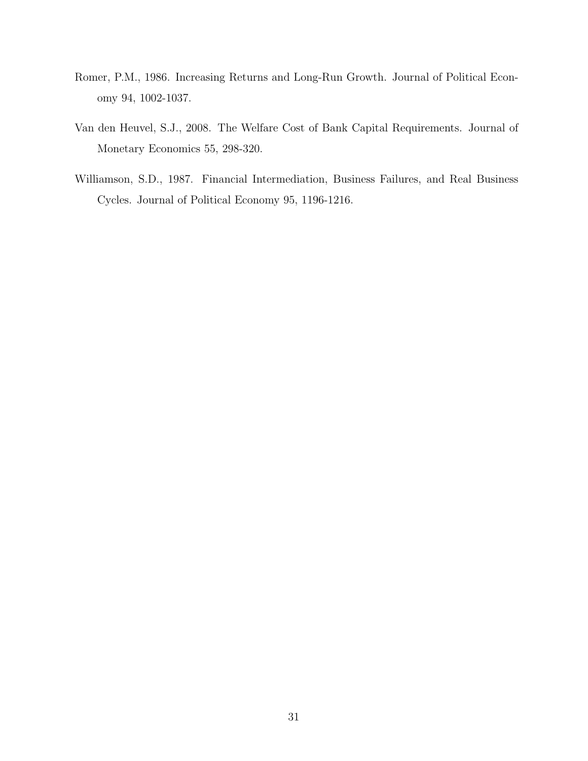- Romer, P.M., 1986. Increasing Returns and Long-Run Growth. Journal of Political Economy 94, 1002-1037.
- Van den Heuvel, S.J., 2008. The Welfare Cost of Bank Capital Requirements. Journal of Monetary Economics 55, 298-320.
- Williamson, S.D., 1987. Financial Intermediation, Business Failures, and Real Business Cycles. Journal of Political Economy 95, 1196-1216.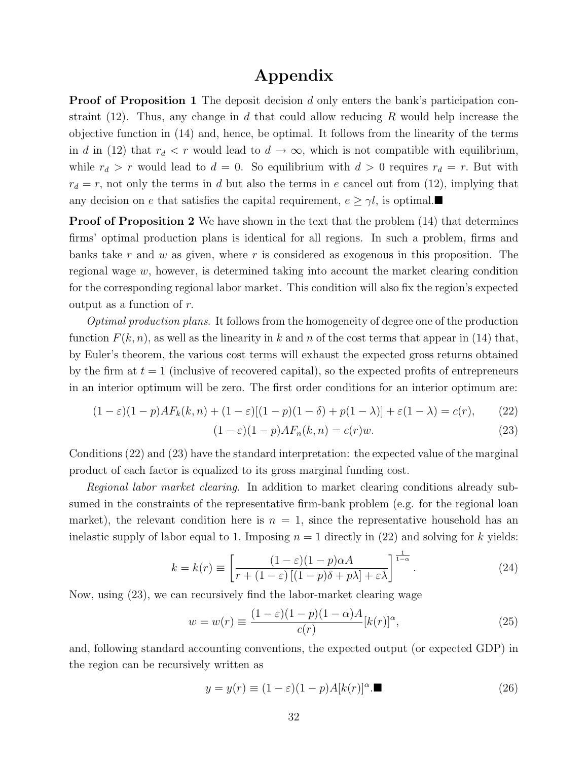# Appendix

**Proof of Proposition 1** The deposit decision d only enters the bank's participation constraint (12). Thus, any change in d that could allow reducing R would help increase the objective function in (14) and, hence, be optimal. It follows from the linearity of the terms in d in (12) that  $r_d < r$  would lead to  $d \to \infty$ , which is not compatible with equilibrium, while  $r_d > r$  would lead to  $d = 0$ . So equilibrium with  $d > 0$  requires  $r_d = r$ . But with  $r_d = r$ , not only the terms in d but also the terms in e cancel out from (12), implying that any decision on e that satisfies the capital requirement,  $e \geq \gamma l$ , is optimal.

**Proof of Proposition 2** We have shown in the text that the problem (14) that determines firms' optimal production plans is identical for all regions. In such a problem, firms and banks take r and w as given, where r is considered as exogenous in this proposition. The regional wage  $w$ , however, is determined taking into account the market clearing condition for the corresponding regional labor market. This condition will also fix the region's expected output as a function of r.

Optimal production plans. It follows from the homogeneity of degree one of the production function  $F(k, n)$ , as well as the linearity in k and n of the cost terms that appear in (14) that, by Euler's theorem, the various cost terms will exhaust the expected gross returns obtained by the firm at  $t = 1$  (inclusive of recovered capital), so the expected profits of entrepreneurs in an interior optimum will be zero. The first order conditions for an interior optimum are:

$$
(1 - \varepsilon)(1 - p)AF_k(k, n) + (1 - \varepsilon)[(1 - p)(1 - \delta) + p(1 - \lambda)] + \varepsilon(1 - \lambda) = c(r), \qquad (22)
$$

$$
(1 - \varepsilon)(1 - p)AF_n(k, n) = c(r)w.
$$
\n(23)

Conditions (22) and (23) have the standard interpretation: the expected value of the marginal product of each factor is equalized to its gross marginal funding cost.

Regional labor market clearing. In addition to market clearing conditions already subsumed in the constraints of the representative firm-bank problem (e.g. for the regional loan market), the relevant condition here is  $n = 1$ , since the representative household has an inelastic supply of labor equal to 1. Imposing  $n = 1$  directly in (22) and solving for k yields:

$$
k = k(r) \equiv \left[ \frac{(1 - \varepsilon)(1 - p)\alpha A}{r + (1 - \varepsilon)\left[ (1 - p)\delta + p\lambda \right] + \varepsilon \lambda} \right]^{\frac{1}{1 - \alpha}}.
$$
 (24)

Now, using (23), we can recursively find the labor-market clearing wage

$$
w = w(r) \equiv \frac{(1 - \varepsilon)(1 - p)(1 - \alpha)A}{c(r)} [k(r)]^{\alpha}, \qquad (25)
$$

and, following standard accounting conventions, the expected output (or expected GDP) in the region can be recursively written as

$$
y = y(r) \equiv (1 - \varepsilon)(1 - p)A[k(r)]^{\alpha}.\blacksquare
$$
\n(26)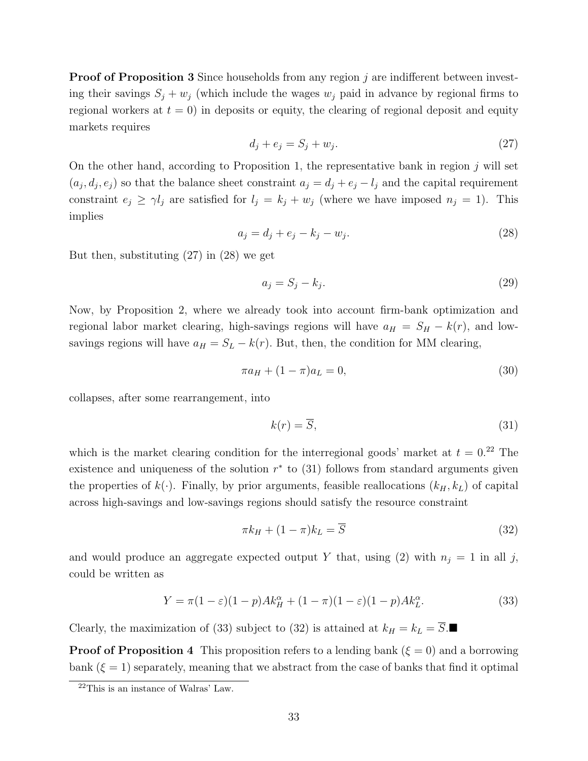**Proof of Proposition 3** Since households from any region j are indifferent between investing their savings  $S_j + w_j$  (which include the wages  $w_j$  paid in advance by regional firms to regional workers at  $t = 0$ ) in deposits or equity, the clearing of regional deposit and equity markets requires

$$
d_j + e_j = S_j + w_j. \tag{27}
$$

On the other hand, according to Proposition 1, the representative bank in region  $j$  will set  $(a_j, d_j, e_j)$  so that the balance sheet constraint  $a_j = d_j + e_j - l_j$  and the capital requirement constraint  $e_j \geq \gamma l_j$  are satisfied for  $l_j = k_j + w_j$  (where we have imposed  $n_j = 1$ ). This implies

$$
a_j = d_j + e_j - k_j - w_j. \tag{28}
$$

But then, substituting  $(27)$  in  $(28)$  we get

$$
a_j = S_j - k_j. \tag{29}
$$

Now, by Proposition 2, where we already took into account firm-bank optimization and regional labor market clearing, high-savings regions will have  $a_H = S_H - k(r)$ , and lowsavings regions will have  $a_H = S_L - k(r)$ . But, then, the condition for MM clearing,

$$
\pi a_H + (1 - \pi) a_L = 0,\t\t(30)
$$

collapses, after some rearrangement, into

$$
k(r) = \overline{S},\tag{31}
$$

which is the market clearing condition for the interregional goods' market at  $t = 0.22$  The existence and uniqueness of the solution  $r^*$  to  $(31)$  follows from standard arguments given the properties of  $k(\cdot)$ . Finally, by prior arguments, feasible reallocations  $(k_H, k_L)$  of capital across high-savings and low-savings regions should satisfy the resource constraint

$$
\pi k_H + (1 - \pi)k_L = \overline{S}
$$
\n(32)

and would produce an aggregate expected output Y that, using (2) with  $n_j = 1$  in all j, could be written as

$$
Y = \pi (1 - \varepsilon)(1 - p)Ak_H^{\alpha} + (1 - \pi)(1 - \varepsilon)(1 - p)Ak_L^{\alpha}.
$$
 (33)

Clearly, the maximization of (33) subject to (32) is attained at  $k_H = k_L = \overline{S}$ .

**Proof of Proposition 4** This proposition refers to a lending bank  $(\xi = 0)$  and a borrowing bank  $(\xi = 1)$  separately, meaning that we abstract from the case of banks that find it optimal

 $22$ This is an instance of Walras' Law.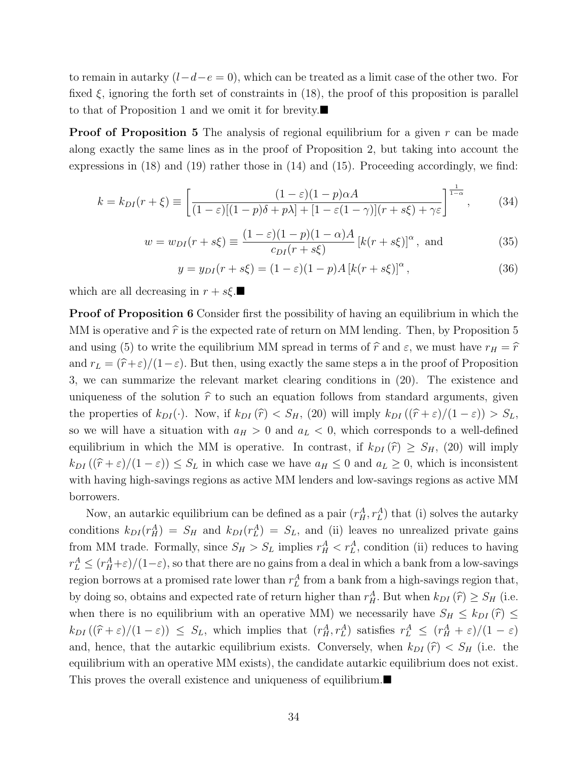to remain in autarky  $(l-d-e=0)$ , which can be treated as a limit case of the other two. For fixed  $\xi$ , ignoring the forth set of constraints in (18), the proof of this proposition is parallel to that of Proposition 1 and we omit it for brevity.

**Proof of Proposition 5** The analysis of regional equilibrium for a given  $r$  can be made along exactly the same lines as in the proof of Proposition 2, but taking into account the expressions in  $(18)$  and  $(19)$  rather those in  $(14)$  and  $(15)$ . Proceeding accordingly, we find:

$$
k = k_{DI}(r + \xi) \equiv \left[ \frac{(1 - \varepsilon)(1 - p)\alpha A}{(1 - \varepsilon)[(1 - p)\delta + p\lambda] + [1 - \varepsilon(1 - \gamma)](r + s\xi) + \gamma\varepsilon} \right]^{\frac{1}{1 - \alpha}},\tag{34}
$$

$$
w = w_{DI}(r + s\xi) \equiv \frac{(1 - \varepsilon)(1 - p)(1 - \alpha)A}{c_{DI}(r + s\xi)} \left[k(r + s\xi)\right]^{\alpha}, \text{ and}
$$
 (35)

$$
y = y_{DI}(r + s\xi) = (1 - \varepsilon)(1 - p)A [k(r + s\xi)]^{\alpha}, \qquad (36)
$$

which are all decreasing in  $r + s\xi$ .

Proof of Proposition 6 Consider first the possibility of having an equilibrium in which the MM is operative and  $\hat{r}$  is the expected rate of return on MM lending. Then, by Proposition 5 and using (5) to write the equilibrium MM spread in terms of  $\hat{r}$  and  $\varepsilon$ , we must have  $r_H = \hat{r}$ and  $r_L = (\hat{r}+\varepsilon)/(1-\varepsilon)$ . But then, using exactly the same steps a in the proof of Proposition 3, we can summarize the relevant market clearing conditions in (20). The existence and uniqueness of the solution  $\hat{r}$  to such an equation follows from standard arguments, given the properties of  $k_{DI}(\cdot)$ . Now, if  $k_{DI}(\hat{r}) < S_H$ , (20) will imply  $k_{DI}((\hat{r}+\varepsilon)/(1-\varepsilon)) > S_L$ , so we will have a situation with  $a_H > 0$  and  $a_L < 0$ , which corresponds to a well-defined equilibrium in which the MM is operative. In contrast, if  $k_{DI}(\hat{r}) \geq S_H$ , (20) will imply  $k_{DI}((\hat{r}+\varepsilon)/(1-\varepsilon)) \leq S_L$  in which case we have  $a_H \leq 0$  and  $a_L \geq 0$ , which is inconsistent with having high-savings regions as active MM lenders and low-savings regions as active MM borrowers.

Now, an autarkic equilibrium can be defined as a pair  $(r_H^A, r_L^A)$  that (i) solves the autarky conditions  $k_{DI}(r_H^A) = S_H$  and  $k_{DI}(r_L^A) = S_L$ , and (ii) leaves no unrealized private gains from MM trade. Formally, since  $S_H > S_L$  implies  $r_H^A < r_L^A$ , condition (ii) reduces to having  $r_L^A \le (r_H^A + \varepsilon)/(1-\varepsilon)$ , so that there are no gains from a deal in which a bank from a low-savings region borrows at a promised rate lower than  $r_L^A$  from a bank from a high-savings region that, by doing so, obtains and expected rate of return higher than  $r_H^A$ . But when  $k_{DI}(\hat{r}) \geq S_H$  (i.e. when there is no equilibrium with an operative MM) we necessarily have  $S_H \leq k_{DI}(\hat{r}) \leq$  $k_{DI}((\hat{r}+\varepsilon)/(1-\varepsilon)) \leq S_L$ , which implies that  $(r_H^A, r_L^A)$  satisfies  $r_L^A \leq (r_H^A + \varepsilon)/(1-\varepsilon)$ and, hence, that the autarkic equilibrium exists. Conversely, when  $k_{DI}(\hat{r}) < S_H$  (i.e. the equilibrium with an operative MM exists), the candidate autarkic equilibrium does not exist. This proves the overall existence and uniqueness of equilibrium.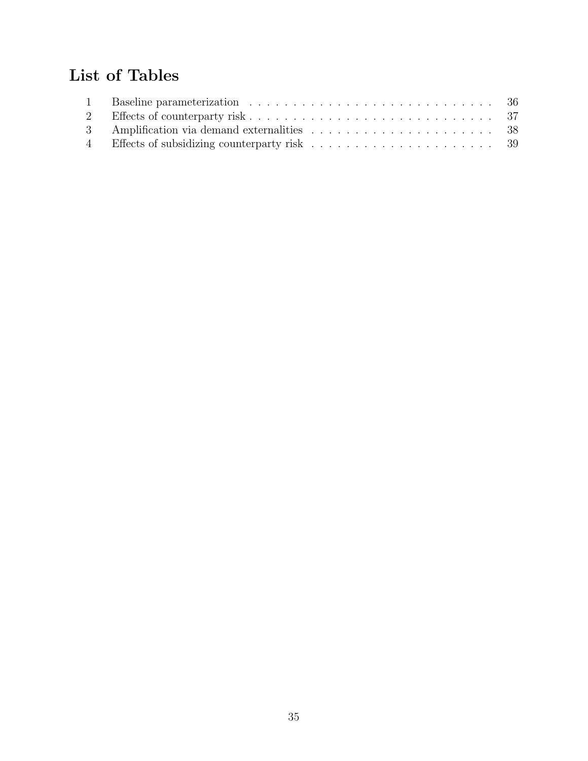# List of Tables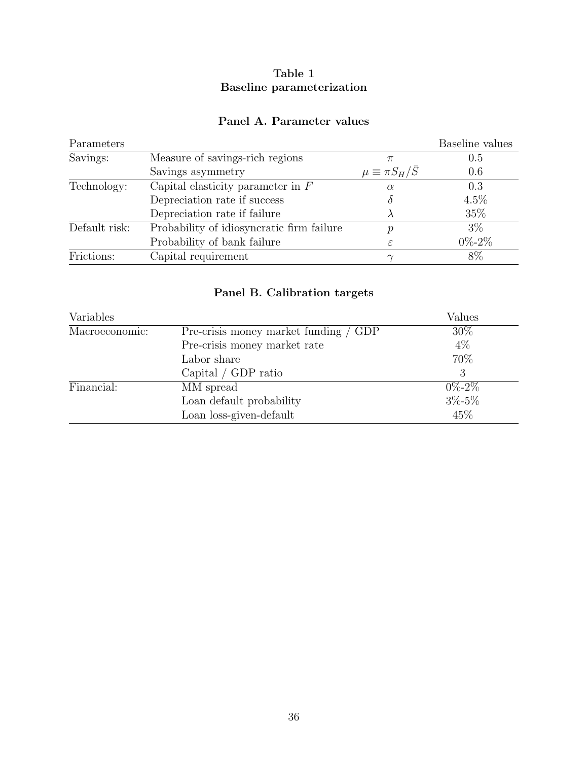## Table 1 Baseline parameterization

## Panel A. Parameter values

| Parameters    |                                           |                              | Baseline values |
|---------------|-------------------------------------------|------------------------------|-----------------|
| Savings:      | Measure of savings-rich regions           |                              | 0.5             |
|               | Savings asymmetry                         | $\mu \equiv \pi S_H/\bar{S}$ | 0.6             |
| Technology:   | Capital elasticity parameter in $F$       | $\alpha$                     | 0.3             |
|               | Depreciation rate if success              |                              | $4.5\%$         |
|               | Depreciation rate if failure              |                              | 35\%            |
| Default risk: | Probability of idiosyncratic firm failure | $\boldsymbol{p}$             | $3\%$           |
|               | Probability of bank failure               | ε                            | $0\% - 2\%$     |
| Frictions:    | Capital requirement                       | $\sim$                       | $8\%$           |

# Panel B. Calibration targets

| Variables      |                                       | Values      |
|----------------|---------------------------------------|-------------|
| Macroeconomic: | Pre-crisis money market funding / GDP | 30\%        |
|                | Pre-crisis money market rate          | $4\%$       |
|                | Labor share                           | 70%         |
|                | Capital $\angle$ GDP ratio            | 3           |
| Financial:     | MM spread                             | $0\% - 2\%$ |
|                | Loan default probability              | $3\% - 5\%$ |
|                | Loan loss-given-default               | 45\%        |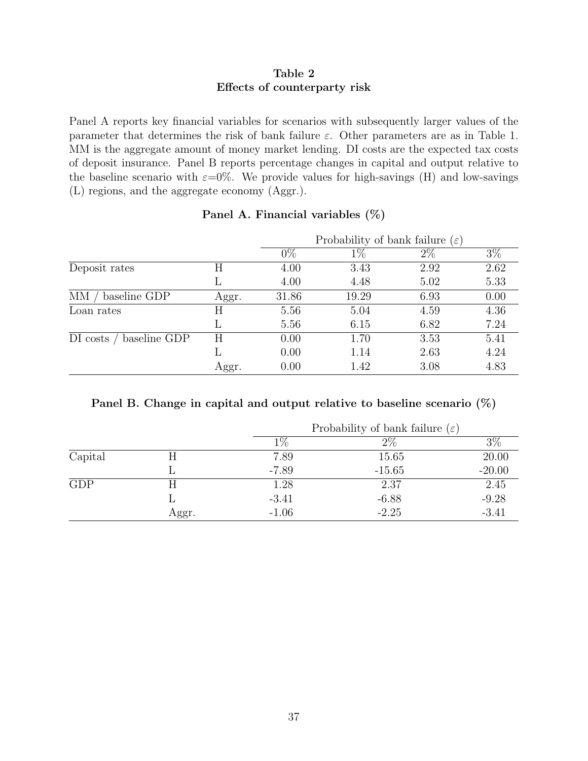### Table 2 Effects of counterparty risk

Panel A reports key financial variables for scenarios with subsequently larger values of the parameter that determines the risk of bank failure  $\varepsilon$ . Other parameters are as in Table 1. MM is the aggregate amount of money market lending. DI costs are the expected tax costs of deposit insurance. Panel B reports percentage changes in capital and output relative to the baseline scenario with  $\varepsilon=0\%$ . We provide values for high-savings (H) and low-savings (L) regions, and the aggregate economy (Aggr.).

|                          |       | Probability of bank failure $(\varepsilon)$ |       |       |       |
|--------------------------|-------|---------------------------------------------|-------|-------|-------|
|                          |       | $0\%$                                       | $1\%$ | $2\%$ | $3\%$ |
| Deposit rates            | Η     | 4.00                                        | 3.43  | 2.92  | 2.62  |
|                          |       | 4.00                                        | 4.48  | 5.02  | 5.33  |
| baseline GDP<br>MМ       | Aggr. | 31.86                                       | 19.29 | 6.93  | 0.00  |
| Loan rates               | Н     | 5.56                                        | 5.04  | 4.59  | 4.36  |
|                          |       | 5.56                                        | 6.15  | 6.82  | 7.24  |
| baseline GDP<br>DI costs | Η     | 0.00                                        | 1.70  | 3.53  | 5.41  |
|                          |       | 0.00                                        | 1.14  | 2.63  | 4.24  |
|                          | Aggr. | 0.00                                        | 1.42  | 3.08  | 4.83  |

## Panel A. Financial variables (%)

|  |  |  |  | Panel B. Change in capital and output relative to baseline scenario (%) |  |
|--|--|--|--|-------------------------------------------------------------------------|--|
|  |  |  |  |                                                                         |  |

|         |       |         | Probability of bank failure $(\varepsilon)$ |          |  |
|---------|-------|---------|---------------------------------------------|----------|--|
|         |       | $1\%$   | $2\%$                                       | $3\%$    |  |
| Capital |       | 7.89    | 15.65                                       | 20.00    |  |
|         |       | $-7.89$ | $-15.65$                                    | $-20.00$ |  |
| GDP     |       | 1.28    | 2.37                                        | 2.45     |  |
|         |       | $-3.41$ | $-6.88$                                     | $-9.28$  |  |
|         | Aggr. | $-1.06$ | $-2.25$                                     | $-3.41$  |  |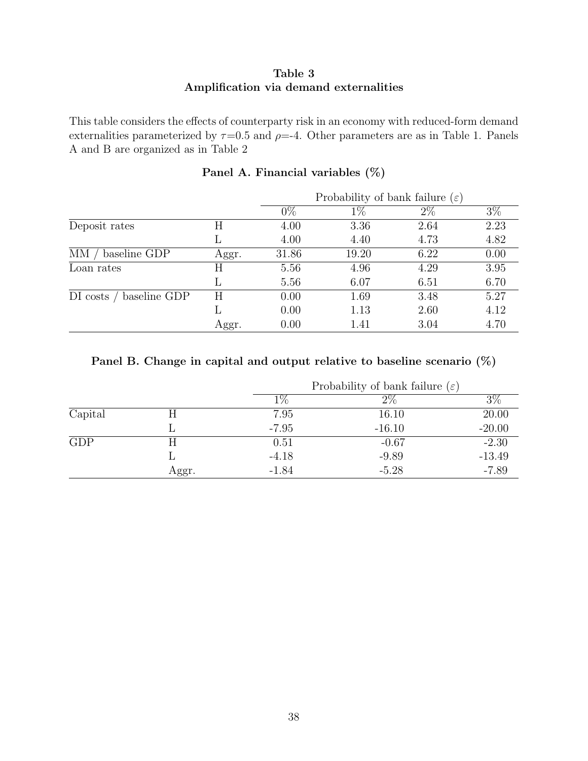### Table 3 Amplification via demand externalities

This table considers the effects of counterparty risk in an economy with reduced-form demand externalities parameterized by  $\tau=0.5$  and  $\rho=-4$ . Other parameters are as in Table 1. Panels A and B are organized as in Table 2

|                              |       | Probability of bank failure $(\varepsilon)$ |       |       |       |
|------------------------------|-------|---------------------------------------------|-------|-------|-------|
|                              |       | $0\%$                                       | $1\%$ | $2\%$ | $3\%$ |
| Deposit rates                | Η     | 4.00                                        | 3.36  | 2.64  | 2.23  |
|                              |       | 4.00                                        | 4.40  | 4.73  | 4.82  |
| baseline GDP<br>MМ           | Aggr. | 31.86                                       | 19.20 | 6.22  | 0.00  |
| Loan rates                   | Н     | 5.56                                        | 4.96  | 4.29  | 3.95  |
|                              |       | 5.56                                        | 6.07  | 6.51  | 6.70  |
| baseline GDP<br>$DI$ costs / | H     | 0.00                                        | 1.69  | 3.48  | 5.27  |
|                              |       | 0.00                                        | 1.13  | 2.60  | 4.12  |
|                              | Aggr. | 0.00                                        | 1.41  | 3.04  | 4.70  |

## Panel A. Financial variables (%)

## Panel B. Change in capital and output relative to baseline scenario (%)

|            |       |         | Probability of bank failure $(\varepsilon)$ |          |  |
|------------|-------|---------|---------------------------------------------|----------|--|
|            |       | $1\%$   | $2\%$                                       | $3\%$    |  |
| Capital    |       | 7.95    | 16.10                                       | 20.00    |  |
|            |       | $-7.95$ | $-16.10$                                    | $-20.00$ |  |
| <b>GDP</b> |       | 0.51    | $-0.67$                                     | $-2.30$  |  |
|            |       | $-4.18$ | $-9.89$                                     | $-13.49$ |  |
|            | Aggr. | $-1.84$ | $-5.28$                                     | $-7.89$  |  |